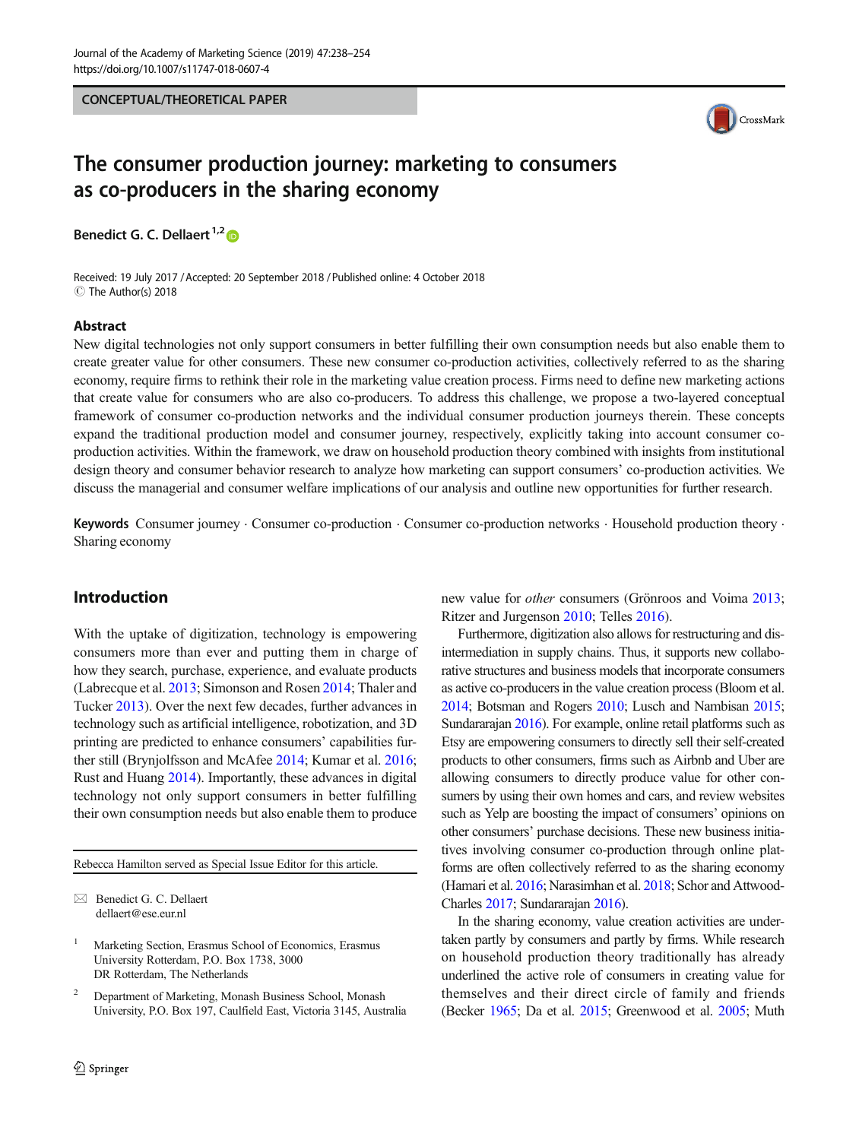

# The consumer production journey: marketing to consumers as co-producers in the sharing economy

Benedict G. C. Dellaert<sup>1,2</sup>

Received: 19 July 2017 /Accepted: 20 September 2018 /Published online: 4 October 2018  $\circledcirc$  The Author(s) 2018

#### Abstract

New digital technologies not only support consumers in better fulfilling their own consumption needs but also enable them to create greater value for other consumers. These new consumer co-production activities, collectively referred to as the sharing economy, require firms to rethink their role in the marketing value creation process. Firms need to define new marketing actions that create value for consumers who are also co-producers. To address this challenge, we propose a two-layered conceptual framework of consumer co-production networks and the individual consumer production journeys therein. These concepts expand the traditional production model and consumer journey, respectively, explicitly taking into account consumer coproduction activities. Within the framework, we draw on household production theory combined with insights from institutional design theory and consumer behavior research to analyze how marketing can support consumers' co-production activities. We discuss the managerial and consumer welfare implications of our analysis and outline new opportunities for further research.

Keywords Consumer journey . Consumer co-production . Consumer co-production networks . Household production theory . Sharing economy

## Introduction

With the uptake of digitization, technology is empowering consumers more than ever and putting them in charge of how they search, purchase, experience, and evaluate products (Labrecque et al. [2013](#page-15-0); Simonson and Rosen [2014](#page-16-0); Thaler and Tucker [2013](#page-16-0)). Over the next few decades, further advances in technology such as artificial intelligence, robotization, and 3D printing are predicted to enhance consumers' capabilities further still (Brynjolfsson and McAfee [2014](#page-14-0); Kumar et al. [2016](#page-15-0); Rust and Huang [2014](#page-15-0)). Importantly, these advances in digital technology not only support consumers in better fulfilling their own consumption needs but also enable them to produce

Rebecca Hamilton served as Special Issue Editor for this article.

 $\boxtimes$  Benedict G. C. Dellaert [dellaert@ese.eur.nl](mailto:dellaert@ese.eur.nl)

Marketing Section, Erasmus School of Economics, Erasmus University Rotterdam, P.O. Box 1738, 3000 DR Rotterdam, The Netherlands

<sup>2</sup> Department of Marketing, Monash Business School, Monash University, P.O. Box 197, Caulfield East, Victoria 3145, Australia new value for other consumers (Grönroos and Voima [2013;](#page-14-0) Ritzer and Jurgenson [2010;](#page-15-0) Telles [2016\)](#page-16-0).

Furthermore, digitization also allows for restructuring and disintermediation in supply chains. Thus, it supports new collaborative structures and business models that incorporate consumers as active co-producers in the value creation process (Bloom et al. [2014;](#page-14-0) Botsman and Rogers [2010;](#page-14-0) Lusch and Nambisan [2015;](#page-15-0) Sundararajan [2016\)](#page-16-0). For example, online retail platforms such as Etsy are empowering consumers to directly sell their self-created products to other consumers, firms such as Airbnb and Uber are allowing consumers to directly produce value for other consumers by using their own homes and cars, and review websites such as Yelp are boosting the impact of consumers' opinions on other consumers' purchase decisions. These new business initiatives involving consumer co-production through online platforms are often collectively referred to as the sharing economy (Hamari et al. [2016](#page-14-0); Narasimhan et al. [2018](#page-15-0); Schor and Attwood-Charles [2017;](#page-16-0) Sundararajan [2016\)](#page-16-0).

In the sharing economy, value creation activities are undertaken partly by consumers and partly by firms. While research on household production theory traditionally has already underlined the active role of consumers in creating value for themselves and their direct circle of family and friends (Becker [1965](#page-14-0); Da et al. [2015](#page-14-0); Greenwood et al. [2005](#page-14-0); Muth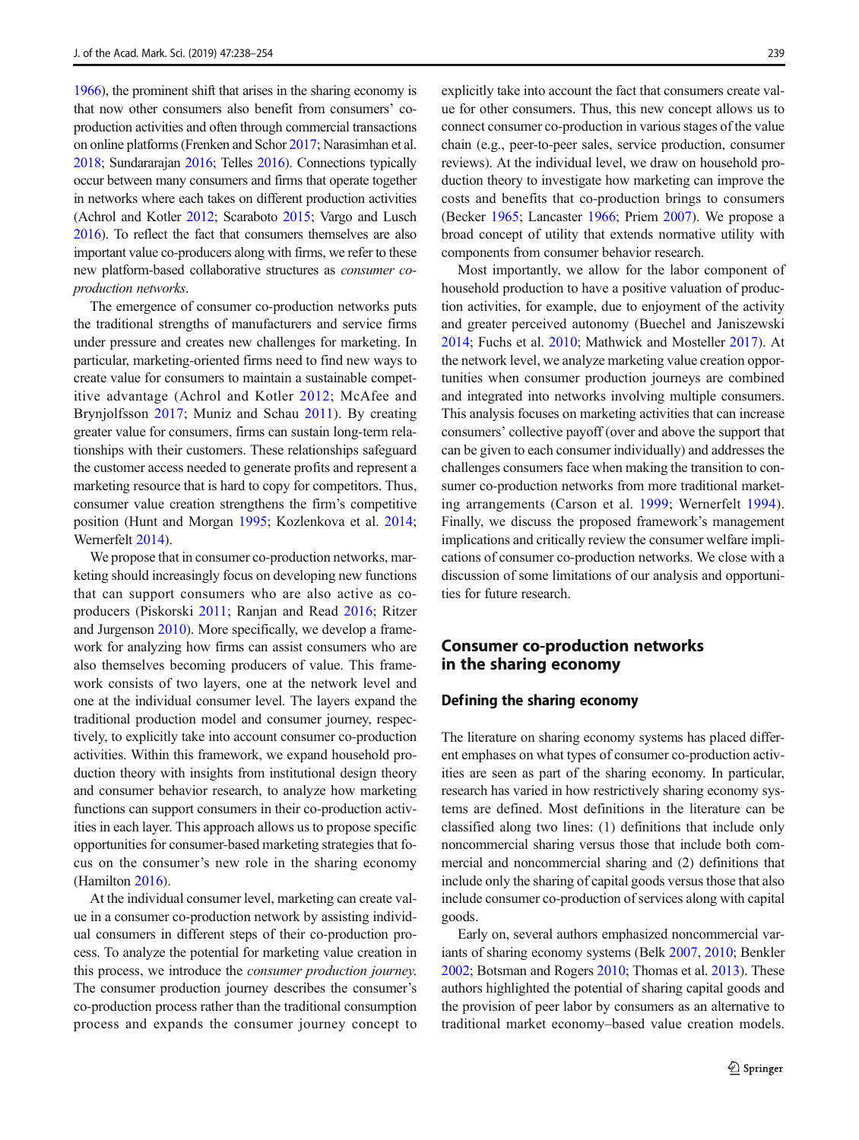[1966](#page-15-0)), the prominent shift that arises in the sharing economy is that now other consumers also benefit from consumers' coproduction activities and often through commercial transactions on online platforms (Frenken and Schor [2017;](#page-14-0) Narasimhan et al. [2018](#page-15-0); Sundararajan [2016](#page-16-0); Telles [2016\)](#page-16-0). Connections typically occur between many consumers and firms that operate together in networks where each takes on different production activities (Achrol and Kotler [2012;](#page-13-0) Scaraboto [2015;](#page-15-0) Vargo and Lusch [2016](#page-16-0)). To reflect the fact that consumers themselves are also important value co-producers along with firms, we refer to these new platform-based collaborative structures as consumer coproduction networks.

The emergence of consumer co-production networks puts the traditional strengths of manufacturers and service firms under pressure and creates new challenges for marketing. In particular, marketing-oriented firms need to find new ways to create value for consumers to maintain a sustainable competitive advantage (Achrol and Kotler [2012;](#page-13-0) McAfee and Brynjolfsson [2017](#page-15-0); Muniz and Schau [2011](#page-15-0)). By creating greater value for consumers, firms can sustain long-term relationships with their customers. These relationships safeguard the customer access needed to generate profits and represent a marketing resource that is hard to copy for competitors. Thus, consumer value creation strengthens the firm's competitive position (Hunt and Morgan [1995](#page-15-0); Kozlenkova et al. [2014](#page-15-0); Wernerfelt [2014](#page-16-0)).

We propose that in consumer co-production networks, marketing should increasingly focus on developing new functions that can support consumers who are also active as coproducers (Piskorski [2011;](#page-15-0) Ranjan and Read [2016;](#page-15-0) Ritzer and Jurgenson [2010](#page-15-0)). More specifically, we develop a framework for analyzing how firms can assist consumers who are also themselves becoming producers of value. This framework consists of two layers, one at the network level and one at the individual consumer level. The layers expand the traditional production model and consumer journey, respectively, to explicitly take into account consumer co-production activities. Within this framework, we expand household production theory with insights from institutional design theory and consumer behavior research, to analyze how marketing functions can support consumers in their co-production activities in each layer. This approach allows us to propose specific opportunities for consumer-based marketing strategies that focus on the consumer's new role in the sharing economy (Hamilton [2016\)](#page-14-0).

At the individual consumer level, marketing can create value in a consumer co-production network by assisting individual consumers in different steps of their co-production process. To analyze the potential for marketing value creation in this process, we introduce the consumer production journey. The consumer production journey describes the consumer's co-production process rather than the traditional consumption process and expands the consumer journey concept to explicitly take into account the fact that consumers create value for other consumers. Thus, this new concept allows us to connect consumer co-production in various stages of the value chain (e.g., peer-to-peer sales, service production, consumer reviews). At the individual level, we draw on household production theory to investigate how marketing can improve the costs and benefits that co-production brings to consumers (Becker [1965](#page-14-0); Lancaster [1966](#page-15-0); Priem [2007\)](#page-15-0). We propose a broad concept of utility that extends normative utility with components from consumer behavior research.

Most importantly, we allow for the labor component of household production to have a positive valuation of production activities, for example, due to enjoyment of the activity and greater perceived autonomy (Buechel and Janiszewski [2014;](#page-14-0) Fuchs et al. [2010](#page-14-0); Mathwick and Mosteller [2017\)](#page-15-0). At the network level, we analyze marketing value creation opportunities when consumer production journeys are combined and integrated into networks involving multiple consumers. This analysis focuses on marketing activities that can increase consumers' collective payoff (over and above the support that can be given to each consumer individually) and addresses the challenges consumers face when making the transition to consumer co-production networks from more traditional marketing arrangements (Carson et al. [1999;](#page-14-0) Wernerfelt [1994](#page-16-0)). Finally, we discuss the proposed framework's management implications and critically review the consumer welfare implications of consumer co-production networks. We close with a discussion of some limitations of our analysis and opportunities for future research.

# Consumer co-production networks in the sharing economy

#### Defining the sharing economy

The literature on sharing economy systems has placed different emphases on what types of consumer co-production activities are seen as part of the sharing economy. In particular, research has varied in how restrictively sharing economy systems are defined. Most definitions in the literature can be classified along two lines: (1) definitions that include only noncommercial sharing versus those that include both commercial and noncommercial sharing and (2) definitions that include only the sharing of capital goods versus those that also include consumer co-production of services along with capital goods.

Early on, several authors emphasized noncommercial variants of sharing economy systems (Belk [2007,](#page-14-0) [2010](#page-14-0); Benkler [2002;](#page-14-0) Botsman and Rogers [2010;](#page-14-0) Thomas et al. [2013](#page-16-0)). These authors highlighted the potential of sharing capital goods and the provision of peer labor by consumers as an alternative to traditional market economy–based value creation models.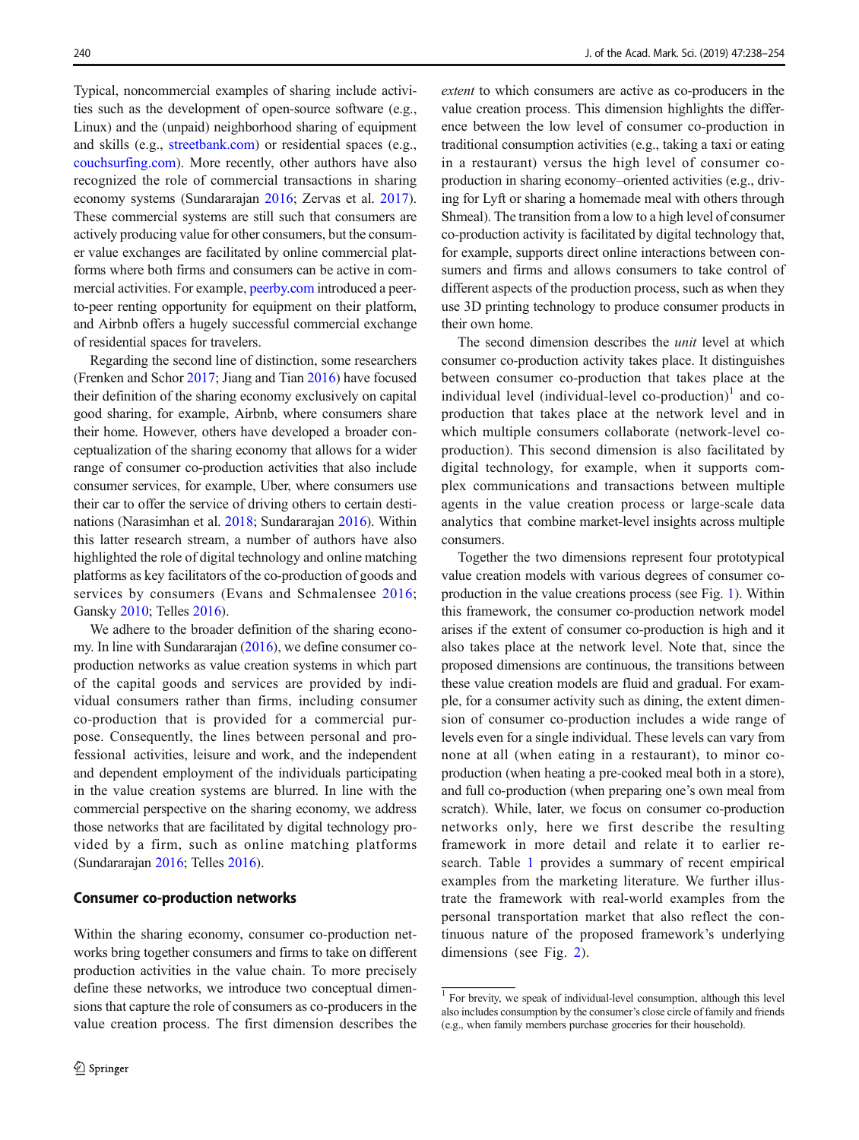Typical, noncommercial examples of sharing include activities such as the development of open-source software (e.g., Linux) and the (unpaid) neighborhood sharing of equipment and skills (e.g., [streetbank.com\)](http://streetbank.com) or residential spaces (e.g., [couchsurfing.com](http://couchsurfing.com)). More recently, other authors have also recognized the role of commercial transactions in sharing economy systems (Sundararajan [2016](#page-16-0); Zervas et al. [2017](#page-16-0)). These commercial systems are still such that consumers are actively producing value for other consumers, but the consumer value exchanges are facilitated by online commercial platforms where both firms and consumers can be active in commercial activities. For example, [peerby.com](http://peerby.com) introduced a peerto-peer renting opportunity for equipment on their platform, and Airbnb offers a hugely successful commercial exchange of residential spaces for travelers.

Regarding the second line of distinction, some researchers (Frenken and Schor [2017](#page-14-0); Jiang and Tian [2016\)](#page-15-0) have focused their definition of the sharing economy exclusively on capital good sharing, for example, Airbnb, where consumers share their home. However, others have developed a broader conceptualization of the sharing economy that allows for a wider range of consumer co-production activities that also include consumer services, for example, Uber, where consumers use their car to offer the service of driving others to certain destinations (Narasimhan et al. [2018;](#page-15-0) Sundararajan [2016](#page-16-0)). Within this latter research stream, a number of authors have also highlighted the role of digital technology and online matching platforms as key facilitators of the co-production of goods and services by consumers (Evans and Schmalensee [2016](#page-14-0); Gansky [2010](#page-14-0); Telles [2016](#page-16-0)).

We adhere to the broader definition of the sharing economy. In line with Sundararajan ([2016](#page-16-0)), we define consumer coproduction networks as value creation systems in which part of the capital goods and services are provided by individual consumers rather than firms, including consumer co-production that is provided for a commercial purpose. Consequently, the lines between personal and professional activities, leisure and work, and the independent and dependent employment of the individuals participating in the value creation systems are blurred. In line with the commercial perspective on the sharing economy, we address those networks that are facilitated by digital technology provided by a firm, such as online matching platforms (Sundararajan [2016](#page-16-0); Telles [2016\)](#page-16-0).

#### Consumer co-production networks

Within the sharing economy, consumer co-production networks bring together consumers and firms to take on different production activities in the value chain. To more precisely define these networks, we introduce two conceptual dimensions that capture the role of consumers as co-producers in the value creation process. The first dimension describes the

extent to which consumers are active as co-producers in the value creation process. This dimension highlights the difference between the low level of consumer co-production in traditional consumption activities (e.g., taking a taxi or eating in a restaurant) versus the high level of consumer coproduction in sharing economy–oriented activities (e.g., driving for Lyft or sharing a homemade meal with others through Shmeal). The transition from a low to a high level of consumer co-production activity is facilitated by digital technology that, for example, supports direct online interactions between consumers and firms and allows consumers to take control of different aspects of the production process, such as when they use 3D printing technology to produce consumer products in their own home.

The second dimension describes the *unit* level at which consumer co-production activity takes place. It distinguishes between consumer co-production that takes place at the individual level (individual-level co-production)<sup>1</sup> and coproduction that takes place at the network level and in which multiple consumers collaborate (network-level coproduction). This second dimension is also facilitated by digital technology, for example, when it supports complex communications and transactions between multiple agents in the value creation process or large-scale data analytics that combine market-level insights across multiple consumers.

Together the two dimensions represent four prototypical value creation models with various degrees of consumer coproduction in the value creations process (see Fig. [1](#page-3-0)). Within this framework, the consumer co-production network model arises if the extent of consumer co-production is high and it also takes place at the network level. Note that, since the proposed dimensions are continuous, the transitions between these value creation models are fluid and gradual. For example, for a consumer activity such as dining, the extent dimension of consumer co-production includes a wide range of levels even for a single individual. These levels can vary from none at all (when eating in a restaurant), to minor coproduction (when heating a pre-cooked meal both in a store), and full co-production (when preparing one's own meal from scratch). While, later, we focus on consumer co-production networks only, here we first describe the resulting framework in more detail and relate it to earlier research. Table [1](#page-4-0) provides a summary of recent empirical examples from the marketing literature. We further illustrate the framework with real-world examples from the personal transportation market that also reflect the continuous nature of the proposed framework's underlying dimensions (see Fig. [2](#page-5-0)).

<sup>&</sup>lt;sup>1</sup> For brevity, we speak of individual-level consumption, although this level also includes consumption by the consumer's close circle of family and friends (e.g., when family members purchase groceries for their household).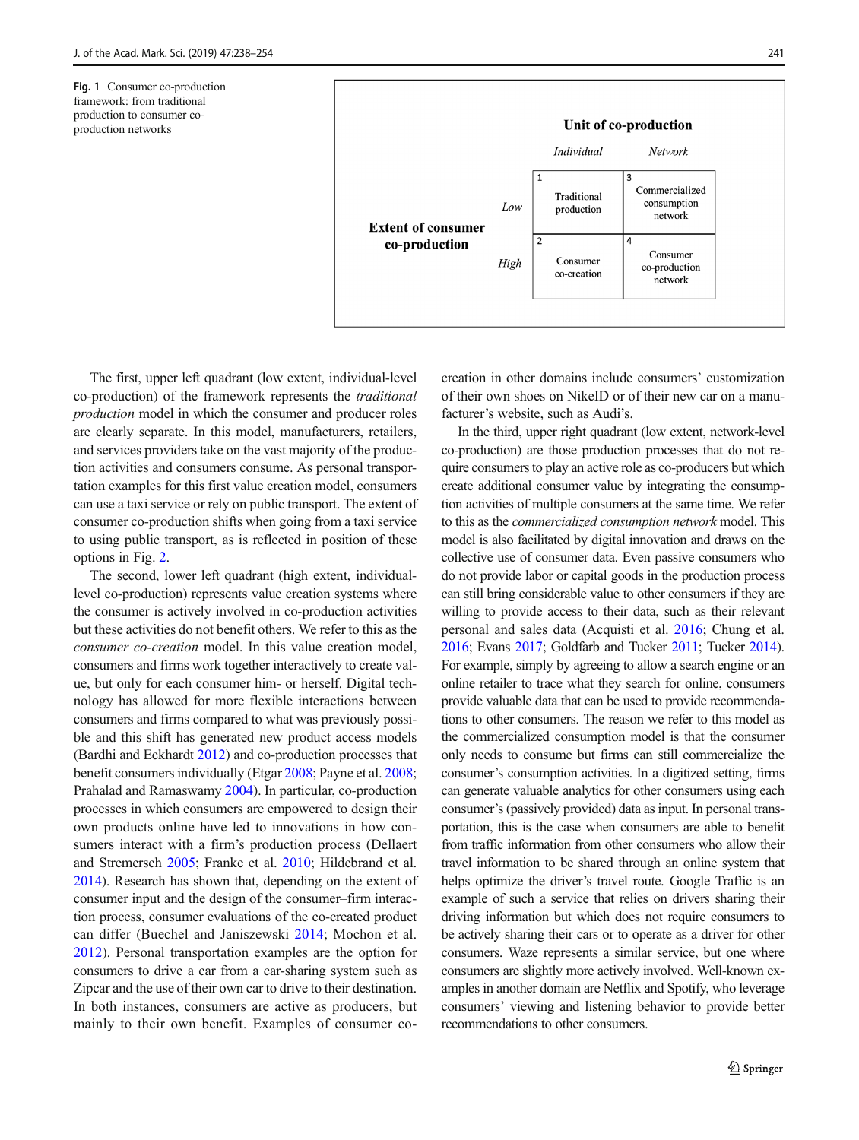<span id="page-3-0"></span>Fig. 1 Consumer co-production framework: from traditional production to consumer coproduction networks



The first, upper left quadrant (low extent, individual-level co-production) of the framework represents the traditional production model in which the consumer and producer roles are clearly separate. In this model, manufacturers, retailers, and services providers take on the vast majority of the production activities and consumers consume. As personal transportation examples for this first value creation model, consumers can use a taxi service or rely on public transport. The extent of consumer co-production shifts when going from a taxi service to using public transport, as is reflected in position of these options in Fig. [2](#page-5-0).

The second, lower left quadrant (high extent, individuallevel co-production) represents value creation systems where the consumer is actively involved in co-production activities but these activities do not benefit others. We refer to this as the consumer co-creation model. In this value creation model, consumers and firms work together interactively to create value, but only for each consumer him- or herself. Digital technology has allowed for more flexible interactions between consumers and firms compared to what was previously possible and this shift has generated new product access models (Bardhi and Eckhardt [2012](#page-14-0)) and co-production processes that benefit consumers individually (Etgar [2008;](#page-14-0) Payne et al. [2008](#page-15-0); Prahalad and Ramaswamy [2004\)](#page-15-0). In particular, co-production processes in which consumers are empowered to design their own products online have led to innovations in how consumers interact with a firm's production process (Dellaert and Stremersch [2005](#page-14-0); Franke et al. [2010;](#page-14-0) Hildebrand et al. [2014\)](#page-15-0). Research has shown that, depending on the extent of consumer input and the design of the consumer–firm interaction process, consumer evaluations of the co-created product can differ (Buechel and Janiszewski [2014;](#page-14-0) Mochon et al. [2012\)](#page-15-0). Personal transportation examples are the option for consumers to drive a car from a car-sharing system such as Zipcar and the use of their own car to drive to their destination. In both instances, consumers are active as producers, but mainly to their own benefit. Examples of consumer cocreation in other domains include consumers' customization of their own shoes on NikeID or of their new car on a manufacturer's website, such as Audi's.

In the third, upper right quadrant (low extent, network-level co-production) are those production processes that do not require consumers to play an active role as co-producers but which create additional consumer value by integrating the consumption activities of multiple consumers at the same time. We refer to this as the commercialized consumption network model. This model is also facilitated by digital innovation and draws on the collective use of consumer data. Even passive consumers who do not provide labor or capital goods in the production process can still bring considerable value to other consumers if they are willing to provide access to their data, such as their relevant personal and sales data (Acquisti et al. [2016](#page-14-0); Chung et al. [2016](#page-14-0); Evans [2017](#page-14-0); Goldfarb and Tucker [2011](#page-14-0); Tucker [2014\)](#page-16-0). For example, simply by agreeing to allow a search engine or an online retailer to trace what they search for online, consumers provide valuable data that can be used to provide recommendations to other consumers. The reason we refer to this model as the commercialized consumption model is that the consumer only needs to consume but firms can still commercialize the consumer's consumption activities. In a digitized setting, firms can generate valuable analytics for other consumers using each consumer's(passively provided) data as input. In personal transportation, this is the case when consumers are able to benefit from traffic information from other consumers who allow their travel information to be shared through an online system that helps optimize the driver's travel route. Google Traffic is an example of such a service that relies on drivers sharing their driving information but which does not require consumers to be actively sharing their cars or to operate as a driver for other consumers. Waze represents a similar service, but one where consumers are slightly more actively involved. Well-known examples in another domain are Netflix and Spotify, who leverage consumers' viewing and listening behavior to provide better recommendations to other consumers.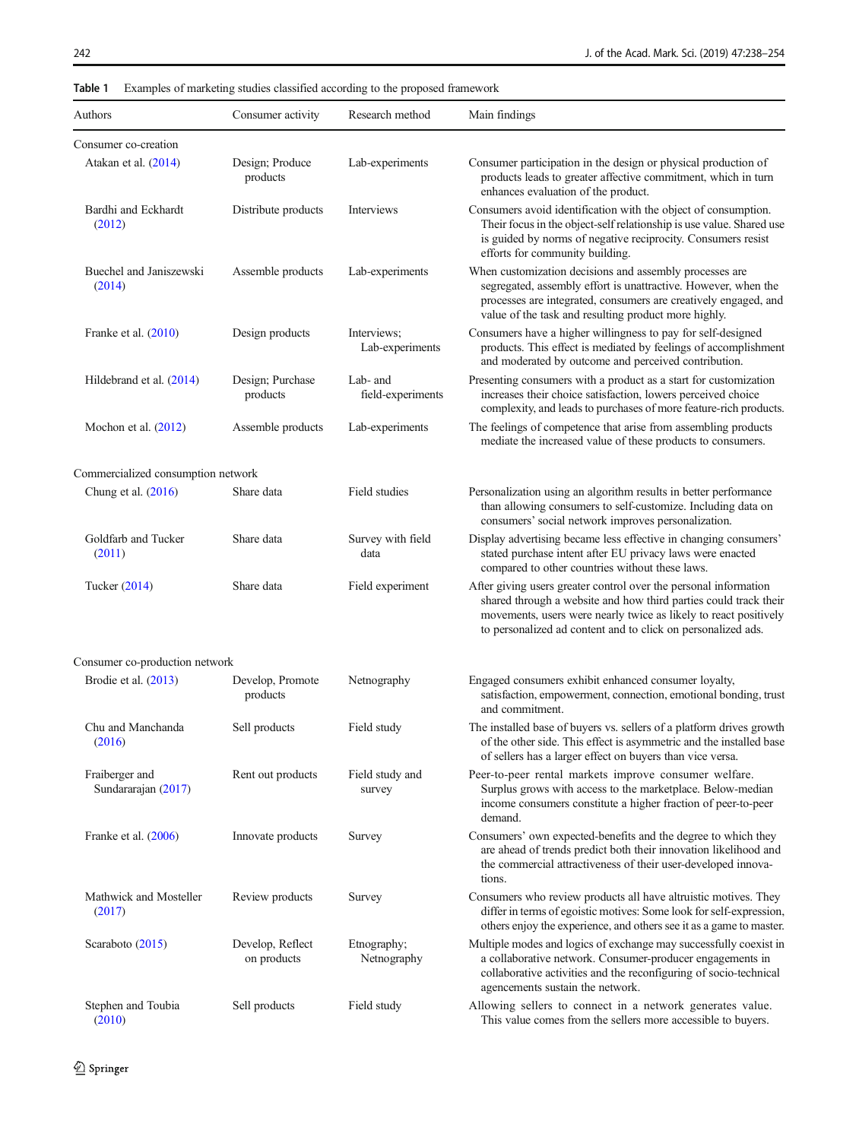| Authors                               | Consumer activity               | Research method                | Main findings                                                                                                                                                                                                                                                            |
|---------------------------------------|---------------------------------|--------------------------------|--------------------------------------------------------------------------------------------------------------------------------------------------------------------------------------------------------------------------------------------------------------------------|
| Consumer co-creation                  |                                 |                                |                                                                                                                                                                                                                                                                          |
| Atakan et al. (2014)                  | Design; Produce<br>products     | Lab-experiments                | Consumer participation in the design or physical production of<br>products leads to greater affective commitment, which in turn<br>enhances evaluation of the product.                                                                                                   |
| Bardhi and Eckhardt<br>(2012)         | Distribute products             | Interviews                     | Consumers avoid identification with the object of consumption.<br>Their focus in the object-self relationship is use value. Shared use<br>is guided by norms of negative reciprocity. Consumers resist<br>efforts for community building.                                |
| Buechel and Janiszewski<br>(2014)     | Assemble products               | Lab-experiments                | When customization decisions and assembly processes are<br>segregated, assembly effort is unattractive. However, when the<br>processes are integrated, consumers are creatively engaged, and<br>value of the task and resulting product more highly.                     |
| Franke et al. $(2010)$                | Design products                 | Interviews;<br>Lab-experiments | Consumers have a higher willingness to pay for self-designed<br>products. This effect is mediated by feelings of accomplishment<br>and moderated by outcome and perceived contribution.                                                                                  |
| Hildebrand et al. (2014)              | Design; Purchase<br>products    | Lab- and<br>field-experiments  | Presenting consumers with a product as a start for customization<br>increases their choice satisfaction, lowers perceived choice<br>complexity, and leads to purchases of more feature-rich products.                                                                    |
| Mochon et al. $(2012)$                | Assemble products               | Lab-experiments                | The feelings of competence that arise from assembling products<br>mediate the increased value of these products to consumers.                                                                                                                                            |
| Commercialized consumption network    |                                 |                                |                                                                                                                                                                                                                                                                          |
| Chung et al. $(2016)$                 | Share data                      | Field studies                  | Personalization using an algorithm results in better performance<br>than allowing consumers to self-customize. Including data on<br>consumers' social network improves personalization.                                                                                  |
| Goldfarb and Tucker<br>(2011)         | Share data                      | Survey with field<br>data      | Display advertising became less effective in changing consumers'<br>stated purchase intent after EU privacy laws were enacted<br>compared to other countries without these laws.                                                                                         |
| Tucker (2014)                         | Share data                      | Field experiment               | After giving users greater control over the personal information<br>shared through a website and how third parties could track their<br>movements, users were nearly twice as likely to react positively<br>to personalized ad content and to click on personalized ads. |
| Consumer co-production network        |                                 |                                |                                                                                                                                                                                                                                                                          |
| Brodie et al. (2013)                  | Develop, Promote<br>products    | Netnography                    | Engaged consumers exhibit enhanced consumer loyalty,<br>satisfaction, empowerment, connection, emotional bonding, trust<br>and commitment.                                                                                                                               |
| Chu and Manchanda<br>(2016)           | Sell products                   | Field study                    | The installed base of buyers vs. sellers of a platform drives growth<br>of the other side. This effect is asymmetric and the installed base<br>of sellers has a larger effect on buyers than vice versa.                                                                 |
| Fraiberger and<br>Sundararajan (2017) | Rent out products               | Field study and<br>survey      | Peer-to-peer rental markets improve consumer welfare.<br>Surplus grows with access to the marketplace. Below-median<br>income consumers constitute a higher fraction of peer-to-peer<br>demand.                                                                          |
| Franke et al. $(2006)$                | Innovate products               | Survey                         | Consumers' own expected-benefits and the degree to which they<br>are ahead of trends predict both their innovation likelihood and<br>the commercial attractiveness of their user-developed innova-<br>tions.                                                             |
| Mathwick and Mosteller<br>(2017)      | Review products                 | Survey                         | Consumers who review products all have altruistic motives. They<br>differ in terms of egoistic motives: Some look for self-expression,<br>others enjoy the experience, and others see it as a game to master.                                                            |
| Scaraboto $(2015)$                    | Develop, Reflect<br>on products | Etnography;<br>Netnography     | Multiple modes and logics of exchange may successfully coexist in<br>a collaborative network. Consumer-producer engagements in<br>collaborative activities and the reconfiguring of socio-technical<br>agencements sustain the network.                                  |
| Stephen and Toubia<br>(2010)          | Sell products                   | Field study                    | Allowing sellers to connect in a network generates value.<br>This value comes from the sellers more accessible to buyers.                                                                                                                                                |

<span id="page-4-0"></span>Table 1 Examples of marketing studies classified according to the proposed framework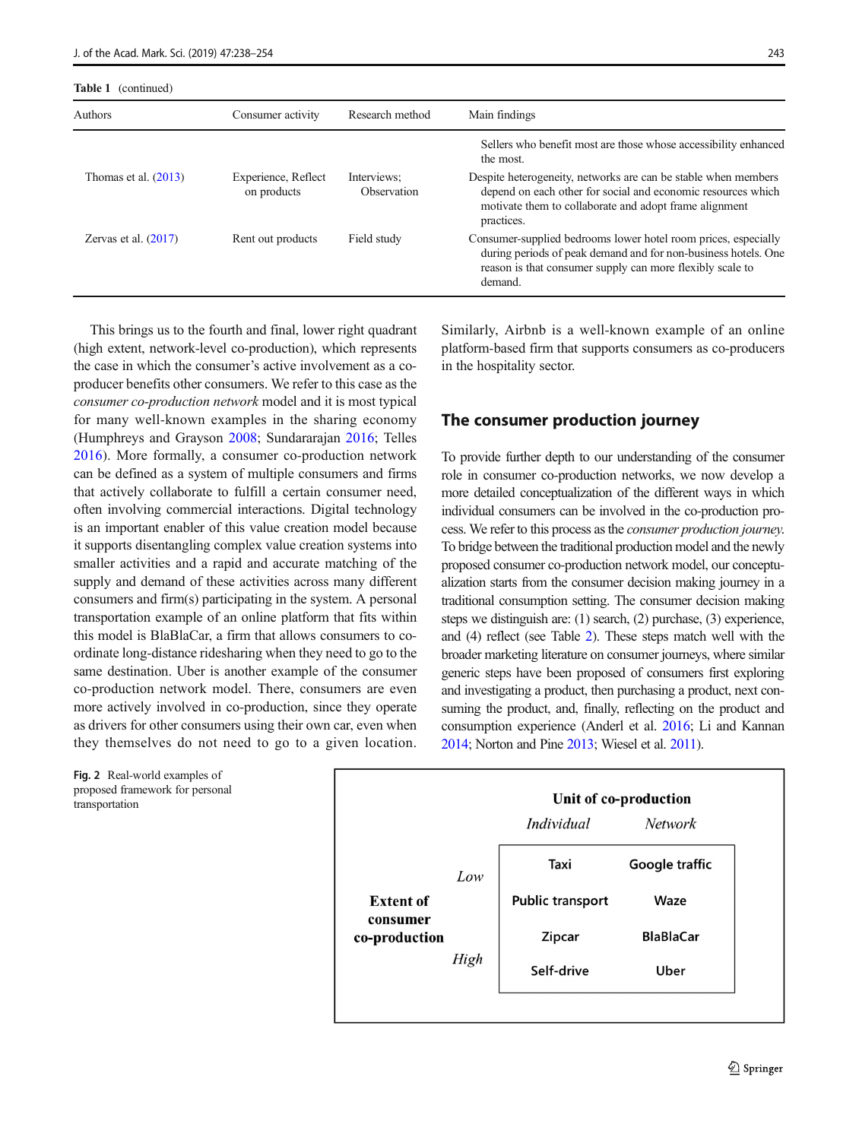<span id="page-5-0"></span> $T = T \cdot T$ 

| 1able 1<br>(continued) |                                    |                            |                                                                                                                                                                                                          |
|------------------------|------------------------------------|----------------------------|----------------------------------------------------------------------------------------------------------------------------------------------------------------------------------------------------------|
| Authors                | Consumer activity                  | Research method            | Main findings                                                                                                                                                                                            |
|                        |                                    |                            | Sellers who benefit most are those whose accessibility enhanced<br>the most.                                                                                                                             |
| Thomas et al. $(2013)$ | Experience, Reflect<br>on products | Interviews:<br>Observation | Despite heterogeneity, networks are can be stable when members<br>depend on each other for social and economic resources which<br>motivate them to collaborate and adopt frame alignment<br>practices.   |
| Zervas et al. $(2017)$ | Rent out products                  | Field study                | Consumer-supplied bedrooms lower hotel room prices, especially<br>during periods of peak demand and for non-business hotels. One<br>reason is that consumer supply can more flexibly scale to<br>demand. |

This brings us to the fourth and final, lower right quadrant (high extent, network-level co-production), which represents the case in which the consumer's active involvement as a coproducer benefits other consumers. We refer to this case as the consumer co-production network model and it is most typical for many well-known examples in the sharing economy (Humphreys and Grayson [2008](#page-15-0); Sundararajan [2016;](#page-16-0) Telles [2016](#page-16-0)). More formally, a consumer co-production network can be defined as a system of multiple consumers and firms that actively collaborate to fulfill a certain consumer need, often involving commercial interactions. Digital technology is an important enabler of this value creation model because it supports disentangling complex value creation systems into smaller activities and a rapid and accurate matching of the supply and demand of these activities across many different consumers and firm(s) participating in the system. A personal transportation example of an online platform that fits within this model is BlaBlaCar, a firm that allows consumers to coordinate long-distance ridesharing when they need to go to the same destination. Uber is another example of the consumer co-production network model. There, consumers are even more actively involved in co-production, since they operate as drivers for other consumers using their own car, even when they themselves do not need to go to a given location.

Fig. 2 Real-world examples of proposed framework for personal transportation

Similarly, Airbnb is a well-known example of an online platform-based firm that supports consumers as co-producers in the hospitality sector.

## The consumer production journey

To provide further depth to our understanding of the consumer role in consumer co-production networks, we now develop a more detailed conceptualization of the different ways in which individual consumers can be involved in the co-production process. We refer to this process as the consumer production journey. To bridge between the traditional production model and the newly proposed consumer co-production network model, our conceptualization starts from the consumer decision making journey in a traditional consumption setting. The consumer decision making steps we distinguish are: (1) search, (2) purchase, (3) experience, and (4) reflect (see Table [2\)](#page-6-0). These steps match well with the broader marketing literature on consumer journeys, where similar generic steps have been proposed of consumers first exploring and investigating a product, then purchasing a product, next consuming the product, and, finally, reflecting on the product and consumption experience (Anderl et al. [2016](#page-14-0); Li and Kannan [2014;](#page-15-0) Norton and Pine [2013;](#page-15-0) Wiesel et al. [2011](#page-16-0)).

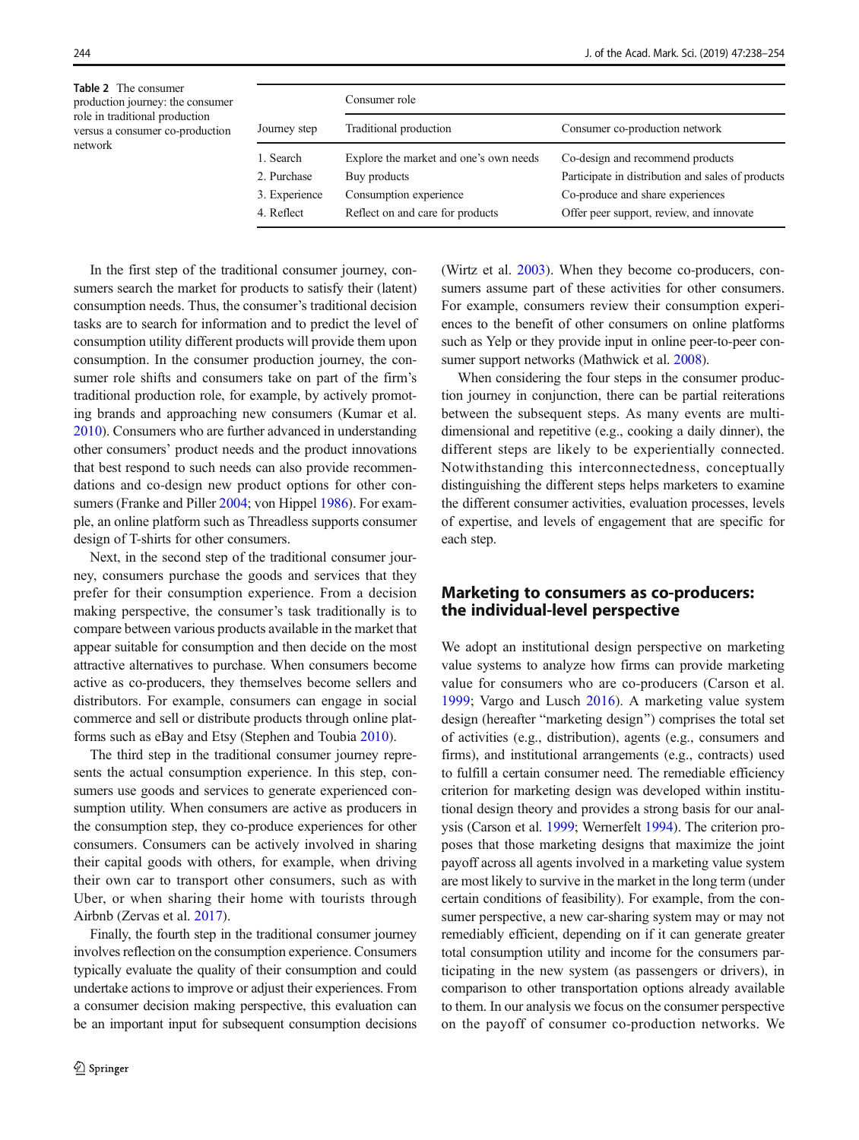<span id="page-6-0"></span>244 J. of the Acad. Mark. Sci. (2019) 47:238–254

Table 2 The consumer production journey: the consumer role in traditional production versus a consumer co-production network

|               | Consumer role                          |                                                   |  |  |
|---------------|----------------------------------------|---------------------------------------------------|--|--|
| Journey step  | Traditional production                 | Consumer co-production network                    |  |  |
| 1. Search     | Explore the market and one's own needs | Co-design and recommend products                  |  |  |
| 2. Purchase   | Buy products                           | Participate in distribution and sales of products |  |  |
| 3. Experience | Consumption experience                 | Co-produce and share experiences                  |  |  |
| 4. Reflect    | Reflect on and care for products       | Offer peer support, review, and innovate          |  |  |

In the first step of the traditional consumer journey, consumers search the market for products to satisfy their (latent) consumption needs. Thus, the consumer's traditional decision tasks are to search for information and to predict the level of consumption utility different products will provide them upon consumption. In the consumer production journey, the consumer role shifts and consumers take on part of the firm's traditional production role, for example, by actively promoting brands and approaching new consumers (Kumar et al. [2010\)](#page-15-0). Consumers who are further advanced in understanding other consumers' product needs and the product innovations that best respond to such needs can also provide recommendations and co-design new product options for other consumers (Franke and Piller [2004;](#page-14-0) von Hippel [1986](#page-16-0)). For example, an online platform such as Threadless supports consumer design of T-shirts for other consumers.

Next, in the second step of the traditional consumer journey, consumers purchase the goods and services that they prefer for their consumption experience. From a decision making perspective, the consumer's task traditionally is to compare between various products available in the market that appear suitable for consumption and then decide on the most attractive alternatives to purchase. When consumers become active as co-producers, they themselves become sellers and distributors. For example, consumers can engage in social commerce and sell or distribute products through online platforms such as eBay and Etsy (Stephen and Toubia [2010\)](#page-16-0).

The third step in the traditional consumer journey represents the actual consumption experience. In this step, consumers use goods and services to generate experienced consumption utility. When consumers are active as producers in the consumption step, they co-produce experiences for other consumers. Consumers can be actively involved in sharing their capital goods with others, for example, when driving their own car to transport other consumers, such as with Uber, or when sharing their home with tourists through Airbnb (Zervas et al. [2017](#page-16-0)).

Finally, the fourth step in the traditional consumer journey involves reflection on the consumption experience. Consumers typically evaluate the quality of their consumption and could undertake actions to improve or adjust their experiences. From a consumer decision making perspective, this evaluation can be an important input for subsequent consumption decisions (Wirtz et al. [2003](#page-16-0)). When they become co-producers, consumers assume part of these activities for other consumers. For example, consumers review their consumption experiences to the benefit of other consumers on online platforms such as Yelp or they provide input in online peer-to-peer consumer support networks (Mathwick et al. [2008\)](#page-15-0).

When considering the four steps in the consumer production journey in conjunction, there can be partial reiterations between the subsequent steps. As many events are multidimensional and repetitive (e.g., cooking a daily dinner), the different steps are likely to be experientially connected. Notwithstanding this interconnectedness, conceptually distinguishing the different steps helps marketers to examine the different consumer activities, evaluation processes, levels of expertise, and levels of engagement that are specific for each step.

# Marketing to consumers as co-producers: the individual-level perspective

We adopt an institutional design perspective on marketing value systems to analyze how firms can provide marketing value for consumers who are co-producers (Carson et al. [1999](#page-14-0); Vargo and Lusch [2016\)](#page-16-0). A marketing value system design (hereafter "marketing design") comprises the total set of activities (e.g., distribution), agents (e.g., consumers and firms), and institutional arrangements (e.g., contracts) used to fulfill a certain consumer need. The remediable efficiency criterion for marketing design was developed within institutional design theory and provides a strong basis for our analysis (Carson et al. [1999](#page-14-0); Wernerfelt [1994\)](#page-16-0). The criterion proposes that those marketing designs that maximize the joint payoff across all agents involved in a marketing value system are most likely to survive in the market in the long term (under certain conditions of feasibility). For example, from the consumer perspective, a new car-sharing system may or may not remediably efficient, depending on if it can generate greater total consumption utility and income for the consumers participating in the new system (as passengers or drivers), in comparison to other transportation options already available to them. In our analysis we focus on the consumer perspective on the payoff of consumer co-production networks. We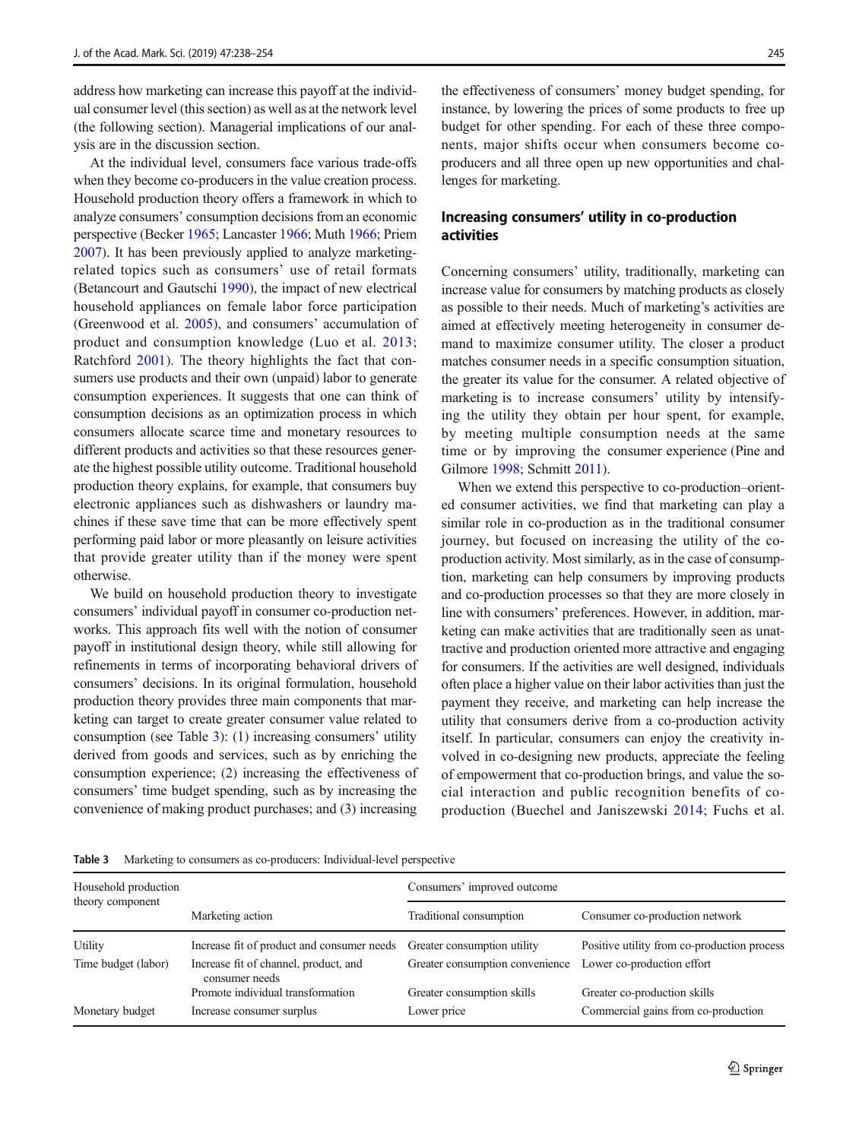address how marketing can increase this payoff at the individual consumer level (this section) as well as at the network level (the following section). Managerial implications of our analysis are in the discussion section.

At the individual level, consumers face various trade-offs when they become co-producers in the value creation process. Household production theory offers a framework in which to analyze consumers' consumption decisions from an economic perspective (Becker [1965](#page-14-0); Lancaster [1966](#page-15-0); Muth [1966](#page-15-0); Priem [2007\)](#page-15-0). It has been previously applied to analyze marketingrelated topics such as consumers' use of retail formats (Betancourt and Gautschi [1990\)](#page-14-0), the impact of new electrical household appliances on female labor force participation (Greenwood et al. [2005\)](#page-14-0), and consumers' accumulation of product and consumption knowledge (Luo et al. [2013](#page-15-0); Ratchford [2001](#page-15-0)). The theory highlights the fact that consumers use products and their own (unpaid) labor to generate consumption experiences. It suggests that one can think of consumption decisions as an optimization process in which consumers allocate scarce time and monetary resources to different products and activities so that these resources generate the highest possible utility outcome. Traditional household production theory explains, for example, that consumers buy electronic appliances such as dishwashers or laundry machines if these save time that can be more effectively spent performing paid labor or more pleasantly on leisure activities that provide greater utility than if the money were spent otherwise.

We build on household production theory to investigate consumers' individual payoff in consumer co-production networks. This approach fits well with the notion of consumer payoff in institutional design theory, while still allowing for refinements in terms of incorporating behavioral drivers of consumers' decisions. In its original formulation, household production theory provides three main components that marketing can target to create greater consumer value related to consumption (see Table 3): (1) increasing consumers' utility derived from goods and services, such as by enriching the consumption experience; (2) increasing the effectiveness of consumers' time budget spending, such as by increasing the convenience of making product purchases; and (3) increasing

the effectiveness of consumers' money budget spending, for instance, by lowering the prices of some products to free up budget for other spending. For each of these three components, major shifts occur when consumers become coproducers and all three open up new opportunities and challenges for marketing.

## Increasing consumers' utility in co-production activities

Concerning consumers' utility, traditionally, marketing can increase value for consumers by matching products as closely as possible to their needs. Much of marketing's activities are aimed at effectively meeting heterogeneity in consumer demand to maximize consumer utility. The closer a product matches consumer needs in a specific consumption situation, the greater its value for the consumer. A related objective of marketing is to increase consumers' utility by intensifying the utility they obtain per hour spent, for example, by meeting multiple consumption needs at the same time or by improving the consumer experience (Pine and Gilmore [1998;](#page-15-0) Schmitt [2011\)](#page-15-0).

When we extend this perspective to co-production–oriented consumer activities, we find that marketing can play a similar role in co-production as in the traditional consumer journey, but focused on increasing the utility of the coproduction activity. Most similarly, as in the case of consumption, marketing can help consumers by improving products and co-production processes so that they are more closely in line with consumers' preferences. However, in addition, marketing can make activities that are traditionally seen as unattractive and production oriented more attractive and engaging for consumers. If the activities are well designed, individuals often place a higher value on their labor activities than just the payment they receive, and marketing can help increase the utility that consumers derive from a co-production activity itself. In particular, consumers can enjoy the creativity involved in co-designing new products, appreciate the feeling of empowerment that co-production brings, and value the social interaction and public recognition benefits of coproduction (Buechel and Janiszewski [2014;](#page-14-0) Fuchs et al.

| Table 3 | Marketing to consumers as co-producers: Individual-level perspective |  |  |  |
|---------|----------------------------------------------------------------------|--|--|--|
|---------|----------------------------------------------------------------------|--|--|--|

| Household production |                                                         | Consumers' improved outcome     |                                             |  |
|----------------------|---------------------------------------------------------|---------------------------------|---------------------------------------------|--|
| theory component     | Marketing action                                        | Traditional consumption         | Consumer co-production network              |  |
| Utility              | Increase fit of product and consumer needs              | Greater consumption utility     | Positive utility from co-production process |  |
| Time budget (labor)  | Increase fit of channel, product, and<br>consumer needs | Greater consumption convenience | Lower co-production effort                  |  |
|                      | Promote individual transformation                       | Greater consumption skills      | Greater co-production skills                |  |
| Monetary budget      | Increase consumer surplus                               | Lower price                     | Commercial gains from co-production         |  |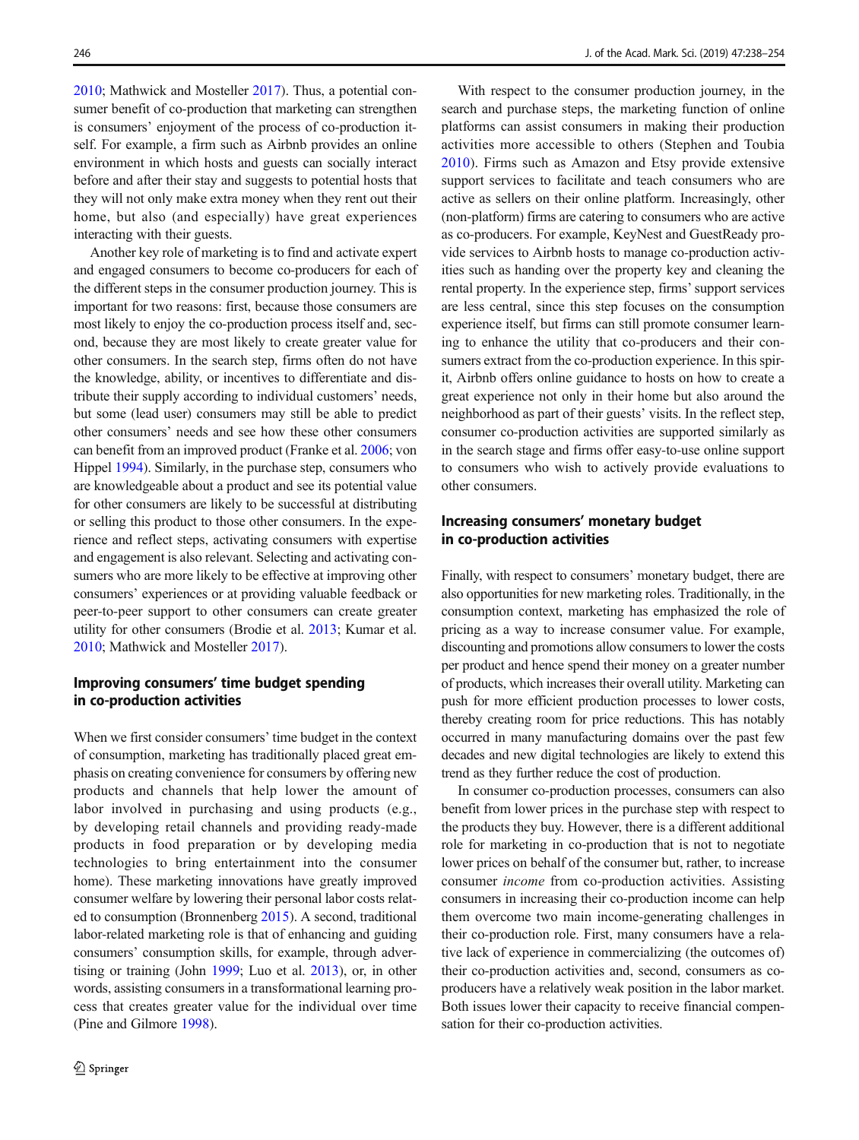[2010;](#page-14-0) Mathwick and Mosteller [2017\)](#page-15-0). Thus, a potential consumer benefit of co-production that marketing can strengthen is consumers' enjoyment of the process of co-production itself. For example, a firm such as Airbnb provides an online environment in which hosts and guests can socially interact before and after their stay and suggests to potential hosts that they will not only make extra money when they rent out their home, but also (and especially) have great experiences interacting with their guests.

Another key role of marketing is to find and activate expert and engaged consumers to become co-producers for each of the different steps in the consumer production journey. This is important for two reasons: first, because those consumers are most likely to enjoy the co-production process itself and, second, because they are most likely to create greater value for other consumers. In the search step, firms often do not have the knowledge, ability, or incentives to differentiate and distribute their supply according to individual customers' needs, but some (lead user) consumers may still be able to predict other consumers' needs and see how these other consumers can benefit from an improved product (Franke et al. [2006;](#page-14-0) von Hippel [1994](#page-16-0)). Similarly, in the purchase step, consumers who are knowledgeable about a product and see its potential value for other consumers are likely to be successful at distributing or selling this product to those other consumers. In the experience and reflect steps, activating consumers with expertise and engagement is also relevant. Selecting and activating consumers who are more likely to be effective at improving other consumers' experiences or at providing valuable feedback or peer-to-peer support to other consumers can create greater utility for other consumers (Brodie et al. [2013;](#page-14-0) Kumar et al. [2010;](#page-15-0) Mathwick and Mosteller [2017\)](#page-15-0).

#### Improving consumers' time budget spending in co-production activities

When we first consider consumers' time budget in the context of consumption, marketing has traditionally placed great emphasis on creating convenience for consumers by offering new products and channels that help lower the amount of labor involved in purchasing and using products (e.g., by developing retail channels and providing ready-made products in food preparation or by developing media technologies to bring entertainment into the consumer home). These marketing innovations have greatly improved consumer welfare by lowering their personal labor costs related to consumption (Bronnenberg [2015\)](#page-14-0). A second, traditional labor-related marketing role is that of enhancing and guiding consumers' consumption skills, for example, through advertising or training (John [1999](#page-15-0); Luo et al. [2013](#page-15-0)), or, in other words, assisting consumers in a transformational learning process that creates greater value for the individual over time (Pine and Gilmore [1998](#page-15-0)).

With respect to the consumer production journey, in the search and purchase steps, the marketing function of online platforms can assist consumers in making their production activities more accessible to others (Stephen and Toubia [2010](#page-16-0)). Firms such as Amazon and Etsy provide extensive support services to facilitate and teach consumers who are active as sellers on their online platform. Increasingly, other (non-platform) firms are catering to consumers who are active as co-producers. For example, KeyNest and GuestReady provide services to Airbnb hosts to manage co-production activities such as handing over the property key and cleaning the rental property. In the experience step, firms'support services are less central, since this step focuses on the consumption experience itself, but firms can still promote consumer learning to enhance the utility that co-producers and their consumers extract from the co-production experience. In this spirit, Airbnb offers online guidance to hosts on how to create a great experience not only in their home but also around the neighborhood as part of their guests' visits. In the reflect step, consumer co-production activities are supported similarly as in the search stage and firms offer easy-to-use online support to consumers who wish to actively provide evaluations to other consumers.

## Increasing consumers' monetary budget in co-production activities

Finally, with respect to consumers' monetary budget, there are also opportunities for new marketing roles. Traditionally, in the consumption context, marketing has emphasized the role of pricing as a way to increase consumer value. For example, discounting and promotions allow consumers to lower the costs per product and hence spend their money on a greater number of products, which increases their overall utility. Marketing can push for more efficient production processes to lower costs, thereby creating room for price reductions. This has notably occurred in many manufacturing domains over the past few decades and new digital technologies are likely to extend this trend as they further reduce the cost of production.

In consumer co-production processes, consumers can also benefit from lower prices in the purchase step with respect to the products they buy. However, there is a different additional role for marketing in co-production that is not to negotiate lower prices on behalf of the consumer but, rather, to increase consumer income from co-production activities. Assisting consumers in increasing their co-production income can help them overcome two main income-generating challenges in their co-production role. First, many consumers have a relative lack of experience in commercializing (the outcomes of) their co-production activities and, second, consumers as coproducers have a relatively weak position in the labor market. Both issues lower their capacity to receive financial compensation for their co-production activities.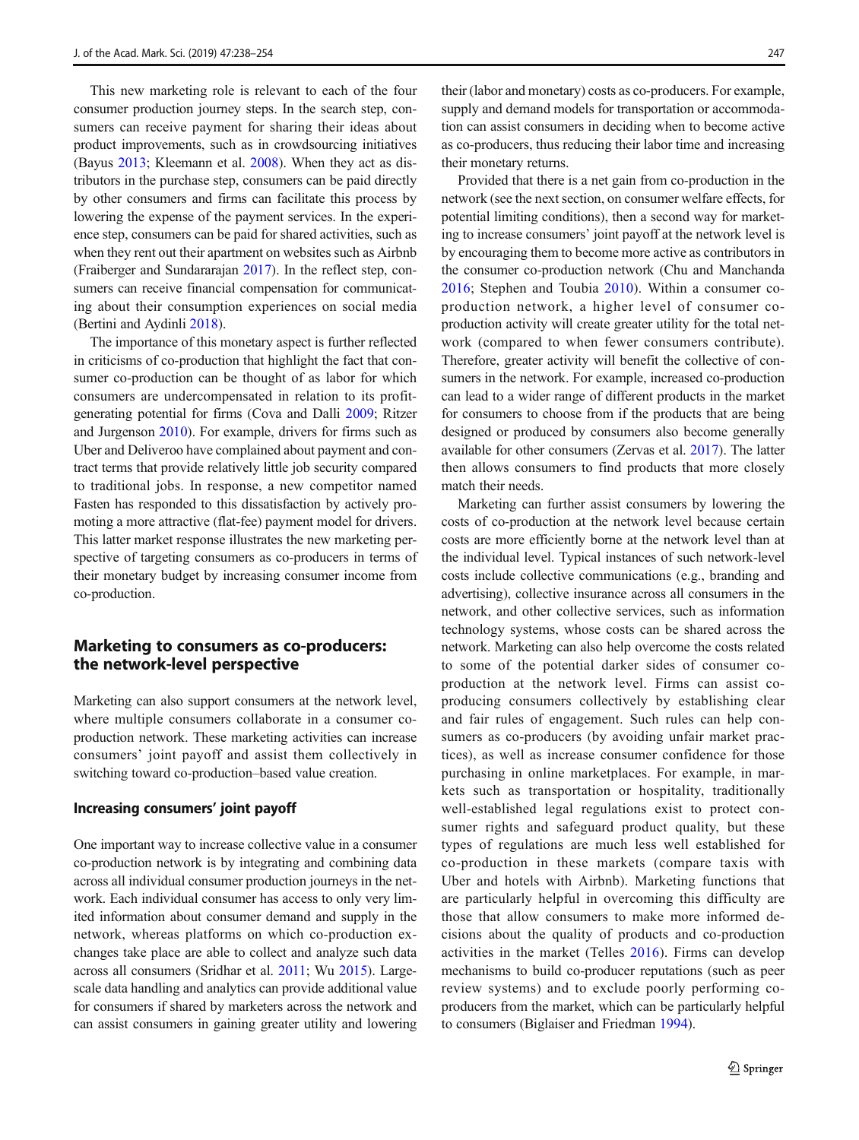This new marketing role is relevant to each of the four consumer production journey steps. In the search step, consumers can receive payment for sharing their ideas about product improvements, such as in crowdsourcing initiatives (Bayus [2013](#page-14-0); Kleemann et al. [2008](#page-15-0)). When they act as distributors in the purchase step, consumers can be paid directly by other consumers and firms can facilitate this process by lowering the expense of the payment services. In the experience step, consumers can be paid for shared activities, such as when they rent out their apartment on websites such as Airbnb (Fraiberger and Sundararajan [2017](#page-14-0)). In the reflect step, consumers can receive financial compensation for communicating about their consumption experiences on social media (Bertini and Aydinli [2018](#page-14-0)).

The importance of this monetary aspect is further reflected in criticisms of co-production that highlight the fact that consumer co-production can be thought of as labor for which consumers are undercompensated in relation to its profitgenerating potential for firms (Cova and Dalli [2009](#page-14-0); Ritzer and Jurgenson [2010\)](#page-15-0). For example, drivers for firms such as Uber and Deliveroo have complained about payment and contract terms that provide relatively little job security compared to traditional jobs. In response, a new competitor named Fasten has responded to this dissatisfaction by actively promoting a more attractive (flat-fee) payment model for drivers. This latter market response illustrates the new marketing perspective of targeting consumers as co-producers in terms of their monetary budget by increasing consumer income from co-production.

## Marketing to consumers as co-producers: the network-level perspective

Marketing can also support consumers at the network level, where multiple consumers collaborate in a consumer coproduction network. These marketing activities can increase consumers' joint payoff and assist them collectively in switching toward co-production–based value creation.

#### Increasing consumers' joint payoff

One important way to increase collective value in a consumer co-production network is by integrating and combining data across all individual consumer production journeys in the network. Each individual consumer has access to only very limited information about consumer demand and supply in the network, whereas platforms on which co-production exchanges take place are able to collect and analyze such data across all consumers (Sridhar et al. [2011](#page-16-0); Wu [2015\)](#page-16-0). Largescale data handling and analytics can provide additional value for consumers if shared by marketers across the network and can assist consumers in gaining greater utility and lowering

their (labor and monetary) costs as co-producers. For example, supply and demand models for transportation or accommodation can assist consumers in deciding when to become active as co-producers, thus reducing their labor time and increasing their monetary returns.

Provided that there is a net gain from co-production in the network (see the next section, on consumer welfare effects, for potential limiting conditions), then a second way for marketing to increase consumers' joint payoff at the network level is by encouraging them to become more active as contributors in the consumer co-production network (Chu and Manchanda [2016](#page-14-0); Stephen and Toubia [2010](#page-16-0)). Within a consumer coproduction network, a higher level of consumer coproduction activity will create greater utility for the total network (compared to when fewer consumers contribute). Therefore, greater activity will benefit the collective of consumers in the network. For example, increased co-production can lead to a wider range of different products in the market for consumers to choose from if the products that are being designed or produced by consumers also become generally available for other consumers (Zervas et al. [2017](#page-16-0)). The latter then allows consumers to find products that more closely match their needs.

Marketing can further assist consumers by lowering the costs of co-production at the network level because certain costs are more efficiently borne at the network level than at the individual level. Typical instances of such network-level costs include collective communications (e.g., branding and advertising), collective insurance across all consumers in the network, and other collective services, such as information technology systems, whose costs can be shared across the network. Marketing can also help overcome the costs related to some of the potential darker sides of consumer coproduction at the network level. Firms can assist coproducing consumers collectively by establishing clear and fair rules of engagement. Such rules can help consumers as co-producers (by avoiding unfair market practices), as well as increase consumer confidence for those purchasing in online marketplaces. For example, in markets such as transportation or hospitality, traditionally well-established legal regulations exist to protect consumer rights and safeguard product quality, but these types of regulations are much less well established for co-production in these markets (compare taxis with Uber and hotels with Airbnb). Marketing functions that are particularly helpful in overcoming this difficulty are those that allow consumers to make more informed decisions about the quality of products and co-production activities in the market (Telles [2016](#page-16-0)). Firms can develop mechanisms to build co-producer reputations (such as peer review systems) and to exclude poorly performing coproducers from the market, which can be particularly helpful to consumers (Biglaiser and Friedman [1994\)](#page-14-0).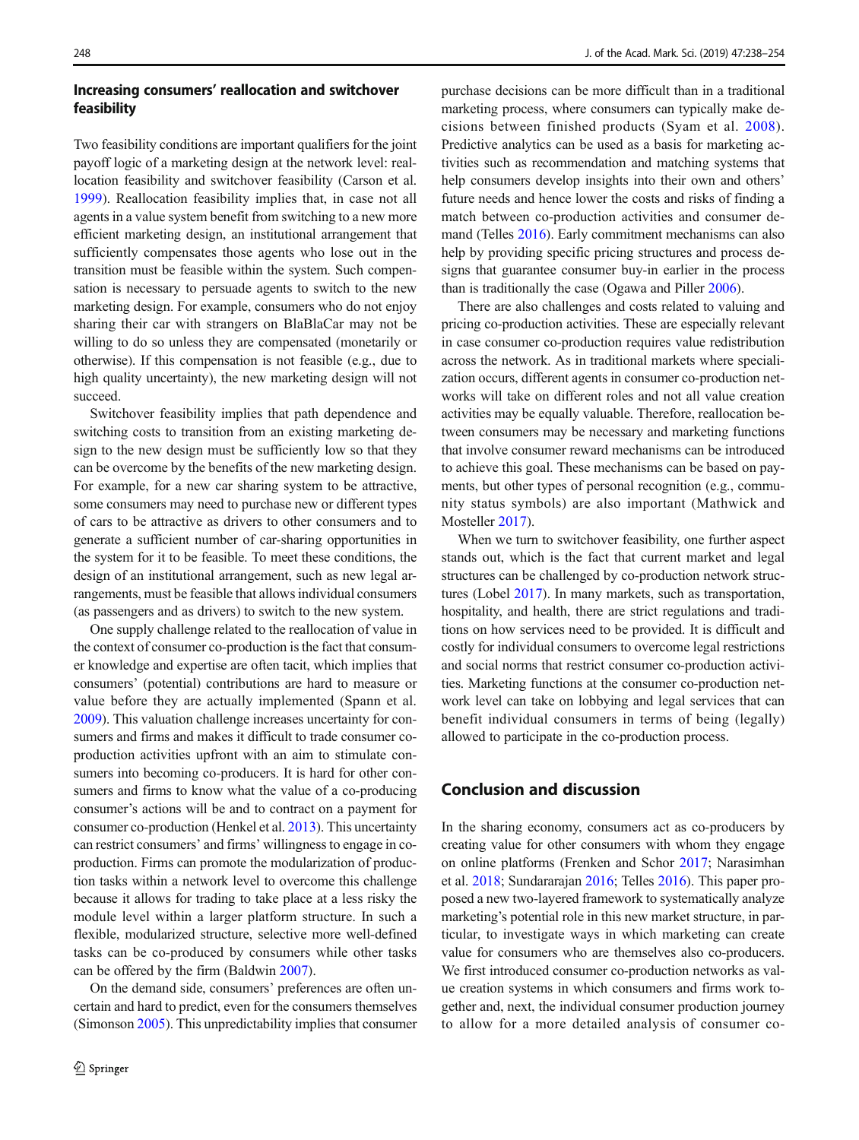#### Increasing consumers' reallocation and switchover feasibility

Two feasibility conditions are important qualifiers for the joint payoff logic of a marketing design at the network level: reallocation feasibility and switchover feasibility (Carson et al. [1999\)](#page-14-0). Reallocation feasibility implies that, in case not all agents in a value system benefit from switching to a new more efficient marketing design, an institutional arrangement that sufficiently compensates those agents who lose out in the transition must be feasible within the system. Such compensation is necessary to persuade agents to switch to the new marketing design. For example, consumers who do not enjoy sharing their car with strangers on BlaBlaCar may not be willing to do so unless they are compensated (monetarily or otherwise). If this compensation is not feasible (e.g., due to high quality uncertainty), the new marketing design will not succeed.

Switchover feasibility implies that path dependence and switching costs to transition from an existing marketing design to the new design must be sufficiently low so that they can be overcome by the benefits of the new marketing design. For example, for a new car sharing system to be attractive, some consumers may need to purchase new or different types of cars to be attractive as drivers to other consumers and to generate a sufficient number of car-sharing opportunities in the system for it to be feasible. To meet these conditions, the design of an institutional arrangement, such as new legal arrangements, must be feasible that allows individual consumers (as passengers and as drivers) to switch to the new system.

One supply challenge related to the reallocation of value in the context of consumer co-production is the fact that consumer knowledge and expertise are often tacit, which implies that consumers' (potential) contributions are hard to measure or value before they are actually implemented (Spann et al. [2009\)](#page-16-0). This valuation challenge increases uncertainty for consumers and firms and makes it difficult to trade consumer coproduction activities upfront with an aim to stimulate consumers into becoming co-producers. It is hard for other consumers and firms to know what the value of a co-producing consumer's actions will be and to contract on a payment for consumer co-production (Henkel et al. [2013](#page-15-0)). This uncertainty can restrict consumers' and firms' willingness to engage in coproduction. Firms can promote the modularization of production tasks within a network level to overcome this challenge because it allows for trading to take place at a less risky the module level within a larger platform structure. In such a flexible, modularized structure, selective more well-defined tasks can be co-produced by consumers while other tasks can be offered by the firm (Baldwin [2007\)](#page-14-0).

On the demand side, consumers' preferences are often uncertain and hard to predict, even for the consumers themselves (Simonson [2005\)](#page-16-0). This unpredictability implies that consumer

purchase decisions can be more difficult than in a traditional marketing process, where consumers can typically make decisions between finished products (Syam et al. [2008](#page-16-0)). Predictive analytics can be used as a basis for marketing activities such as recommendation and matching systems that help consumers develop insights into their own and others' future needs and hence lower the costs and risks of finding a match between co-production activities and consumer demand (Telles [2016\)](#page-16-0). Early commitment mechanisms can also help by providing specific pricing structures and process designs that guarantee consumer buy-in earlier in the process than is traditionally the case (Ogawa and Piller [2006\)](#page-15-0).

There are also challenges and costs related to valuing and pricing co-production activities. These are especially relevant in case consumer co-production requires value redistribution across the network. As in traditional markets where specialization occurs, different agents in consumer co-production networks will take on different roles and not all value creation activities may be equally valuable. Therefore, reallocation between consumers may be necessary and marketing functions that involve consumer reward mechanisms can be introduced to achieve this goal. These mechanisms can be based on payments, but other types of personal recognition (e.g., community status symbols) are also important (Mathwick and Mosteller [2017](#page-15-0)).

When we turn to switchover feasibility, one further aspect stands out, which is the fact that current market and legal structures can be challenged by co-production network structures (Lobel [2017](#page-15-0)). In many markets, such as transportation, hospitality, and health, there are strict regulations and traditions on how services need to be provided. It is difficult and costly for individual consumers to overcome legal restrictions and social norms that restrict consumer co-production activities. Marketing functions at the consumer co-production network level can take on lobbying and legal services that can benefit individual consumers in terms of being (legally) allowed to participate in the co-production process.

# Conclusion and discussion

In the sharing economy, consumers act as co-producers by creating value for other consumers with whom they engage on online platforms (Frenken and Schor [2017;](#page-14-0) Narasimhan et al. [2018](#page-15-0); Sundararajan [2016;](#page-16-0) Telles [2016\)](#page-16-0). This paper proposed a new two-layered framework to systematically analyze marketing's potential role in this new market structure, in particular, to investigate ways in which marketing can create value for consumers who are themselves also co-producers. We first introduced consumer co-production networks as value creation systems in which consumers and firms work together and, next, the individual consumer production journey to allow for a more detailed analysis of consumer co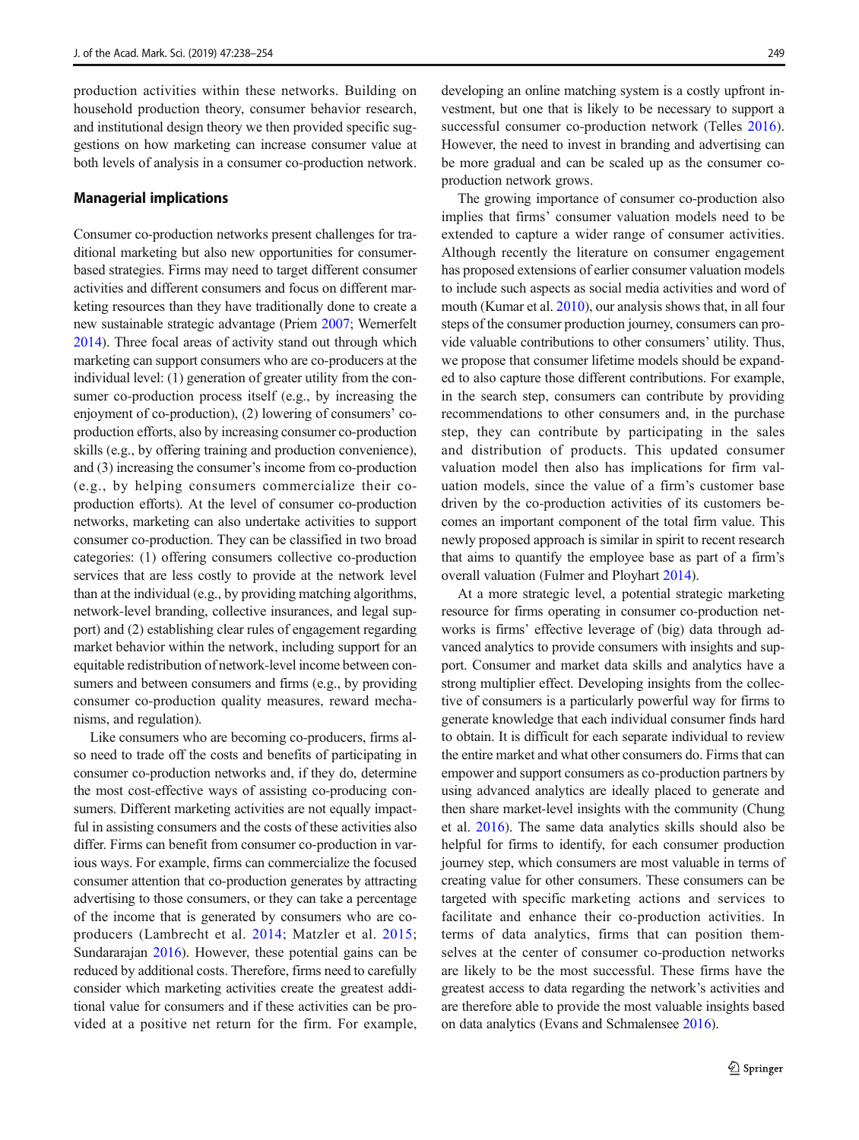production activities within these networks. Building on household production theory, consumer behavior research, and institutional design theory we then provided specific suggestions on how marketing can increase consumer value at both levels of analysis in a consumer co-production network.

#### Managerial implications

Consumer co-production networks present challenges for traditional marketing but also new opportunities for consumerbased strategies. Firms may need to target different consumer activities and different consumers and focus on different marketing resources than they have traditionally done to create a new sustainable strategic advantage (Priem [2007;](#page-15-0) Wernerfelt [2014\)](#page-16-0). Three focal areas of activity stand out through which marketing can support consumers who are co-producers at the individual level: (1) generation of greater utility from the consumer co-production process itself (e.g., by increasing the enjoyment of co-production), (2) lowering of consumers' coproduction efforts, also by increasing consumer co-production skills (e.g., by offering training and production convenience), and (3) increasing the consumer's income from co-production (e.g., by helping consumers commercialize their coproduction efforts). At the level of consumer co-production networks, marketing can also undertake activities to support consumer co-production. They can be classified in two broad categories: (1) offering consumers collective co-production services that are less costly to provide at the network level than at the individual (e.g., by providing matching algorithms, network-level branding, collective insurances, and legal support) and (2) establishing clear rules of engagement regarding market behavior within the network, including support for an equitable redistribution of network-level income between consumers and between consumers and firms (e.g., by providing consumer co-production quality measures, reward mechanisms, and regulation).

Like consumers who are becoming co-producers, firms also need to trade off the costs and benefits of participating in consumer co-production networks and, if they do, determine the most cost-effective ways of assisting co-producing consumers. Different marketing activities are not equally impactful in assisting consumers and the costs of these activities also differ. Firms can benefit from consumer co-production in various ways. For example, firms can commercialize the focused consumer attention that co-production generates by attracting advertising to those consumers, or they can take a percentage of the income that is generated by consumers who are coproducers (Lambrecht et al. [2014;](#page-15-0) Matzler et al. [2015](#page-15-0); Sundararajan [2016\)](#page-16-0). However, these potential gains can be reduced by additional costs. Therefore, firms need to carefully consider which marketing activities create the greatest additional value for consumers and if these activities can be provided at a positive net return for the firm. For example, developing an online matching system is a costly upfront investment, but one that is likely to be necessary to support a successful consumer co-production network (Telles [2016\)](#page-16-0). However, the need to invest in branding and advertising can be more gradual and can be scaled up as the consumer coproduction network grows.

The growing importance of consumer co-production also implies that firms' consumer valuation models need to be extended to capture a wider range of consumer activities. Although recently the literature on consumer engagement has proposed extensions of earlier consumer valuation models to include such aspects as social media activities and word of mouth (Kumar et al. [2010](#page-15-0)), our analysis shows that, in all four steps of the consumer production journey, consumers can provide valuable contributions to other consumers' utility. Thus, we propose that consumer lifetime models should be expanded to also capture those different contributions. For example, in the search step, consumers can contribute by providing recommendations to other consumers and, in the purchase step, they can contribute by participating in the sales and distribution of products. This updated consumer valuation model then also has implications for firm valuation models, since the value of a firm's customer base driven by the co-production activities of its customers becomes an important component of the total firm value. This newly proposed approach is similar in spirit to recent research that aims to quantify the employee base as part of a firm's overall valuation (Fulmer and Ployhart [2014](#page-14-0)).

At a more strategic level, a potential strategic marketing resource for firms operating in consumer co-production networks is firms' effective leverage of (big) data through advanced analytics to provide consumers with insights and support. Consumer and market data skills and analytics have a strong multiplier effect. Developing insights from the collective of consumers is a particularly powerful way for firms to generate knowledge that each individual consumer finds hard to obtain. It is difficult for each separate individual to review the entire market and what other consumers do. Firms that can empower and support consumers as co-production partners by using advanced analytics are ideally placed to generate and then share market-level insights with the community (Chung et al. [2016](#page-14-0)). The same data analytics skills should also be helpful for firms to identify, for each consumer production journey step, which consumers are most valuable in terms of creating value for other consumers. These consumers can be targeted with specific marketing actions and services to facilitate and enhance their co-production activities. In terms of data analytics, firms that can position themselves at the center of consumer co-production networks are likely to be the most successful. These firms have the greatest access to data regarding the network's activities and are therefore able to provide the most valuable insights based on data analytics (Evans and Schmalensee [2016](#page-14-0)).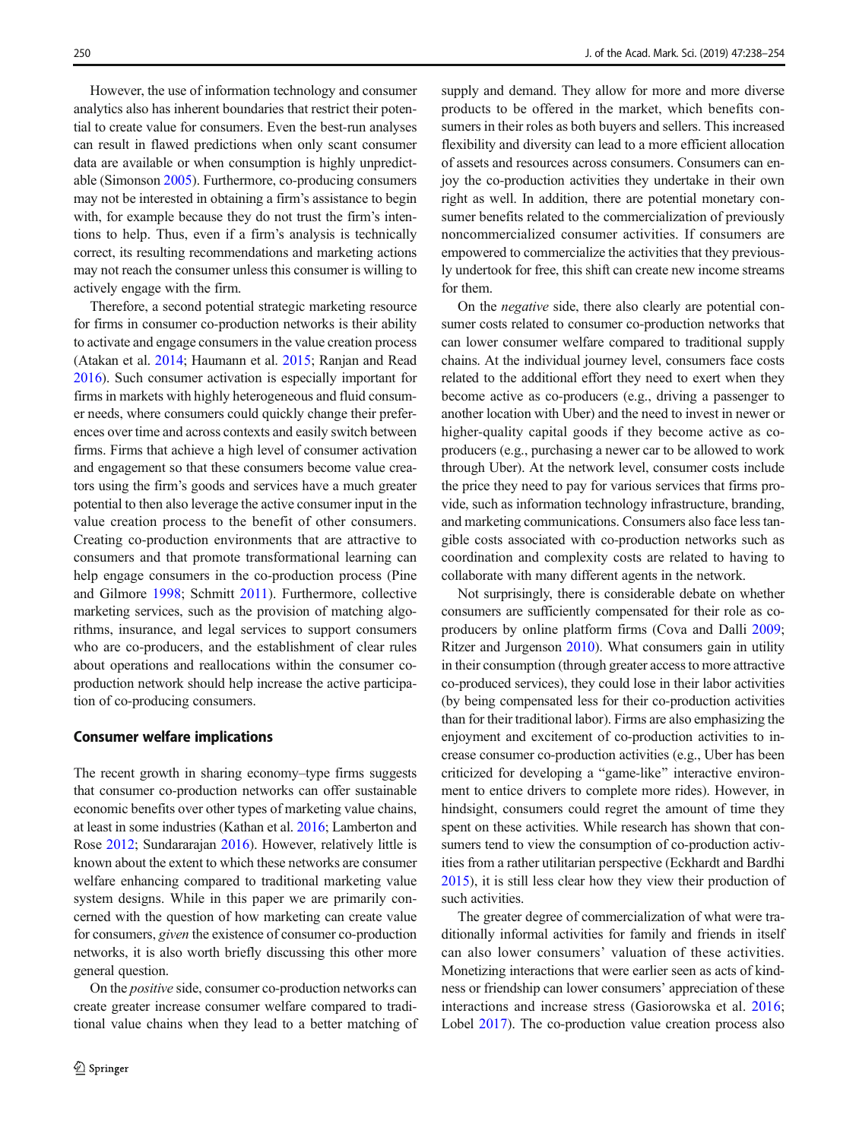However, the use of information technology and consumer analytics also has inherent boundaries that restrict their potential to create value for consumers. Even the best-run analyses can result in flawed predictions when only scant consumer data are available or when consumption is highly unpredictable (Simonson [2005](#page-16-0)). Furthermore, co-producing consumers may not be interested in obtaining a firm's assistance to begin with, for example because they do not trust the firm's intentions to help. Thus, even if a firm's analysis is technically correct, its resulting recommendations and marketing actions may not reach the consumer unless this consumer is willing to actively engage with the firm.

Therefore, a second potential strategic marketing resource for firms in consumer co-production networks is their ability to activate and engage consumers in the value creation process (Atakan et al. [2014](#page-14-0); Haumann et al. [2015;](#page-15-0) Ranjan and Read [2016\)](#page-15-0). Such consumer activation is especially important for firms in markets with highly heterogeneous and fluid consumer needs, where consumers could quickly change their preferences over time and across contexts and easily switch between firms. Firms that achieve a high level of consumer activation and engagement so that these consumers become value creators using the firm's goods and services have a much greater potential to then also leverage the active consumer input in the value creation process to the benefit of other consumers. Creating co-production environments that are attractive to consumers and that promote transformational learning can help engage consumers in the co-production process (Pine and Gilmore [1998;](#page-15-0) Schmitt [2011](#page-15-0)). Furthermore, collective marketing services, such as the provision of matching algorithms, insurance, and legal services to support consumers who are co-producers, and the establishment of clear rules about operations and reallocations within the consumer coproduction network should help increase the active participation of co-producing consumers.

#### Consumer welfare implications

The recent growth in sharing economy–type firms suggests that consumer co-production networks can offer sustainable economic benefits over other types of marketing value chains, at least in some industries (Kathan et al. [2016](#page-15-0); Lamberton and Rose [2012](#page-15-0); Sundararajan [2016\)](#page-16-0). However, relatively little is known about the extent to which these networks are consumer welfare enhancing compared to traditional marketing value system designs. While in this paper we are primarily concerned with the question of how marketing can create value for consumers, given the existence of consumer co-production networks, it is also worth briefly discussing this other more general question.

On the positive side, consumer co-production networks can create greater increase consumer welfare compared to traditional value chains when they lead to a better matching of supply and demand. They allow for more and more diverse products to be offered in the market, which benefits consumers in their roles as both buyers and sellers. This increased flexibility and diversity can lead to a more efficient allocation of assets and resources across consumers. Consumers can enjoy the co-production activities they undertake in their own right as well. In addition, there are potential monetary consumer benefits related to the commercialization of previously noncommercialized consumer activities. If consumers are empowered to commercialize the activities that they previously undertook for free, this shift can create new income streams for them.

On the negative side, there also clearly are potential consumer costs related to consumer co-production networks that can lower consumer welfare compared to traditional supply chains. At the individual journey level, consumers face costs related to the additional effort they need to exert when they become active as co-producers (e.g., driving a passenger to another location with Uber) and the need to invest in newer or higher-quality capital goods if they become active as coproducers (e.g., purchasing a newer car to be allowed to work through Uber). At the network level, consumer costs include the price they need to pay for various services that firms provide, such as information technology infrastructure, branding, and marketing communications. Consumers also face less tangible costs associated with co-production networks such as coordination and complexity costs are related to having to collaborate with many different agents in the network.

Not surprisingly, there is considerable debate on whether consumers are sufficiently compensated for their role as coproducers by online platform firms (Cova and Dalli [2009;](#page-14-0) Ritzer and Jurgenson [2010](#page-15-0)). What consumers gain in utility in their consumption (through greater access to more attractive co-produced services), they could lose in their labor activities (by being compensated less for their co-production activities than for their traditional labor). Firms are also emphasizing the enjoyment and excitement of co-production activities to increase consumer co-production activities (e.g., Uber has been criticized for developing a "game-like" interactive environment to entice drivers to complete more rides). However, in hindsight, consumers could regret the amount of time they spent on these activities. While research has shown that consumers tend to view the consumption of co-production activities from a rather utilitarian perspective (Eckhardt and Bardhi [2015\)](#page-14-0), it is still less clear how they view their production of such activities.

The greater degree of commercialization of what were traditionally informal activities for family and friends in itself can also lower consumers' valuation of these activities. Monetizing interactions that were earlier seen as acts of kindness or friendship can lower consumers' appreciation of these interactions and increase stress (Gasiorowska et al. [2016;](#page-14-0) Lobel [2017\)](#page-15-0). The co-production value creation process also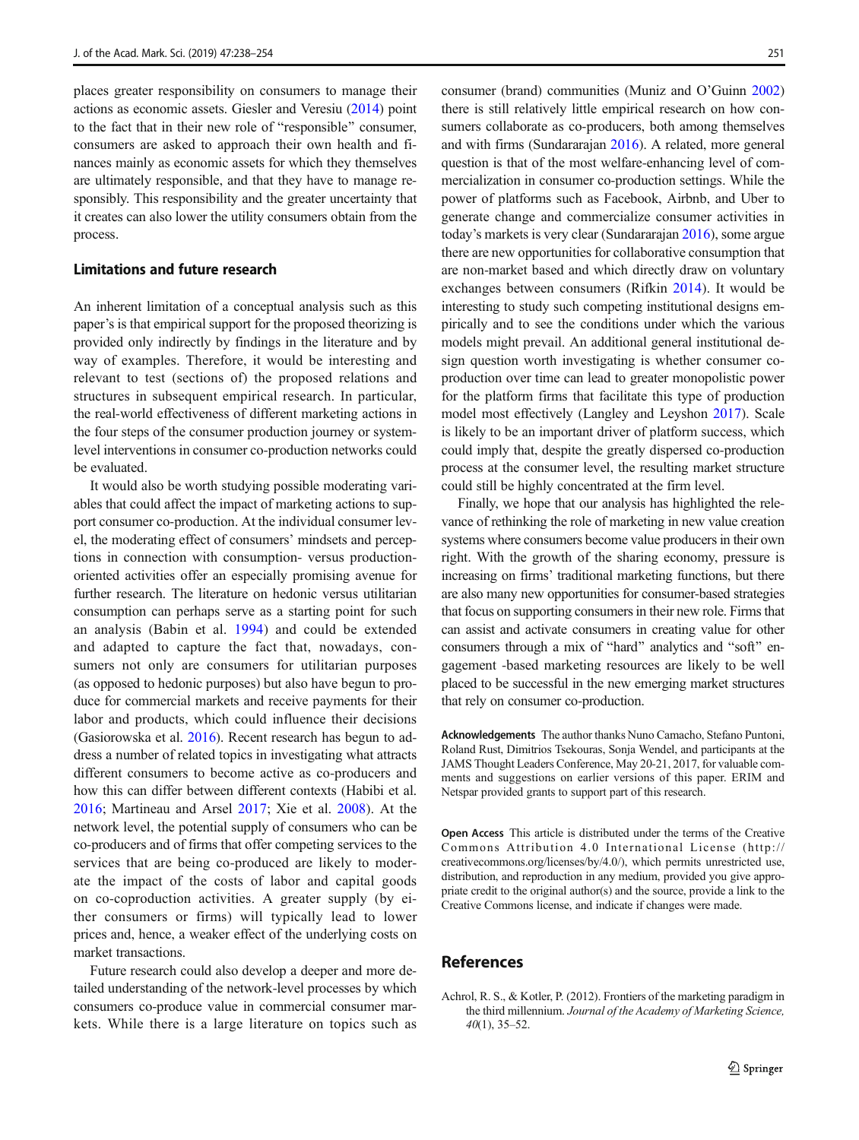<span id="page-13-0"></span>places greater responsibility on consumers to manage their actions as economic assets. Giesler and Veresiu [\(2014](#page-14-0)) point to the fact that in their new role of "responsible" consumer, consumers are asked to approach their own health and finances mainly as economic assets for which they themselves are ultimately responsible, and that they have to manage responsibly. This responsibility and the greater uncertainty that it creates can also lower the utility consumers obtain from the process.

#### Limitations and future research

An inherent limitation of a conceptual analysis such as this paper's is that empirical support for the proposed theorizing is provided only indirectly by findings in the literature and by way of examples. Therefore, it would be interesting and relevant to test (sections of) the proposed relations and structures in subsequent empirical research. In particular, the real-world effectiveness of different marketing actions in the four steps of the consumer production journey or systemlevel interventions in consumer co-production networks could be evaluated.

It would also be worth studying possible moderating variables that could affect the impact of marketing actions to support consumer co-production. At the individual consumer level, the moderating effect of consumers' mindsets and perceptions in connection with consumption- versus productionoriented activities offer an especially promising avenue for further research. The literature on hedonic versus utilitarian consumption can perhaps serve as a starting point for such an analysis (Babin et al. [1994\)](#page-14-0) and could be extended and adapted to capture the fact that, nowadays, consumers not only are consumers for utilitarian purposes (as opposed to hedonic purposes) but also have begun to produce for commercial markets and receive payments for their labor and products, which could influence their decisions (Gasiorowska et al. [2016\)](#page-14-0). Recent research has begun to address a number of related topics in investigating what attracts different consumers to become active as co-producers and how this can differ between different contexts (Habibi et al. [2016;](#page-14-0) Martineau and Arsel [2017](#page-15-0); Xie et al. [2008\)](#page-16-0). At the network level, the potential supply of consumers who can be co-producers and of firms that offer competing services to the services that are being co-produced are likely to moderate the impact of the costs of labor and capital goods on co-coproduction activities. A greater supply (by either consumers or firms) will typically lead to lower prices and, hence, a weaker effect of the underlying costs on market transactions.

Future research could also develop a deeper and more detailed understanding of the network-level processes by which consumers co-produce value in commercial consumer markets. While there is a large literature on topics such as consumer (brand) communities (Muniz and O'Guinn [2002](#page-15-0)) there is still relatively little empirical research on how consumers collaborate as co-producers, both among themselves and with firms (Sundararajan [2016](#page-16-0)). A related, more general question is that of the most welfare-enhancing level of commercialization in consumer co-production settings. While the power of platforms such as Facebook, Airbnb, and Uber to generate change and commercialize consumer activities in today's markets is very clear (Sundararajan [2016\)](#page-16-0), some argue there are new opportunities for collaborative consumption that are non-market based and which directly draw on voluntary exchanges between consumers (Rifkin [2014\)](#page-15-0). It would be interesting to study such competing institutional designs empirically and to see the conditions under which the various models might prevail. An additional general institutional design question worth investigating is whether consumer coproduction over time can lead to greater monopolistic power for the platform firms that facilitate this type of production model most effectively (Langley and Leyshon [2017](#page-15-0)). Scale is likely to be an important driver of platform success, which could imply that, despite the greatly dispersed co-production process at the consumer level, the resulting market structure could still be highly concentrated at the firm level.

Finally, we hope that our analysis has highlighted the relevance of rethinking the role of marketing in new value creation systems where consumers become value producers in their own right. With the growth of the sharing economy, pressure is increasing on firms' traditional marketing functions, but there are also many new opportunities for consumer-based strategies that focus on supporting consumers in their new role. Firms that can assist and activate consumers in creating value for other consumers through a mix of "hard" analytics and "soft" engagement -based marketing resources are likely to be well placed to be successful in the new emerging market structures that rely on consumer co-production.

Acknowledgements The author thanks Nuno Camacho, Stefano Puntoni, Roland Rust, Dimitrios Tsekouras, Sonja Wendel, and participants at the JAMS Thought Leaders Conference, May 20-21, 2017, for valuable comments and suggestions on earlier versions of this paper. ERIM and Netspar provided grants to support part of this research.

Open Access This article is distributed under the terms of the Creative Commons Attribution 4.0 International License (http:// creativecommons.org/licenses/by/4.0/), which permits unrestricted use, distribution, and reproduction in any medium, provided you give appropriate credit to the original author(s) and the source, provide a link to the Creative Commons license, and indicate if changes were made.

## References

Achrol, R. S., & Kotler, P. (2012). Frontiers of the marketing paradigm in the third millennium. Journal of the Academy of Marketing Science, 40(1), 35–52.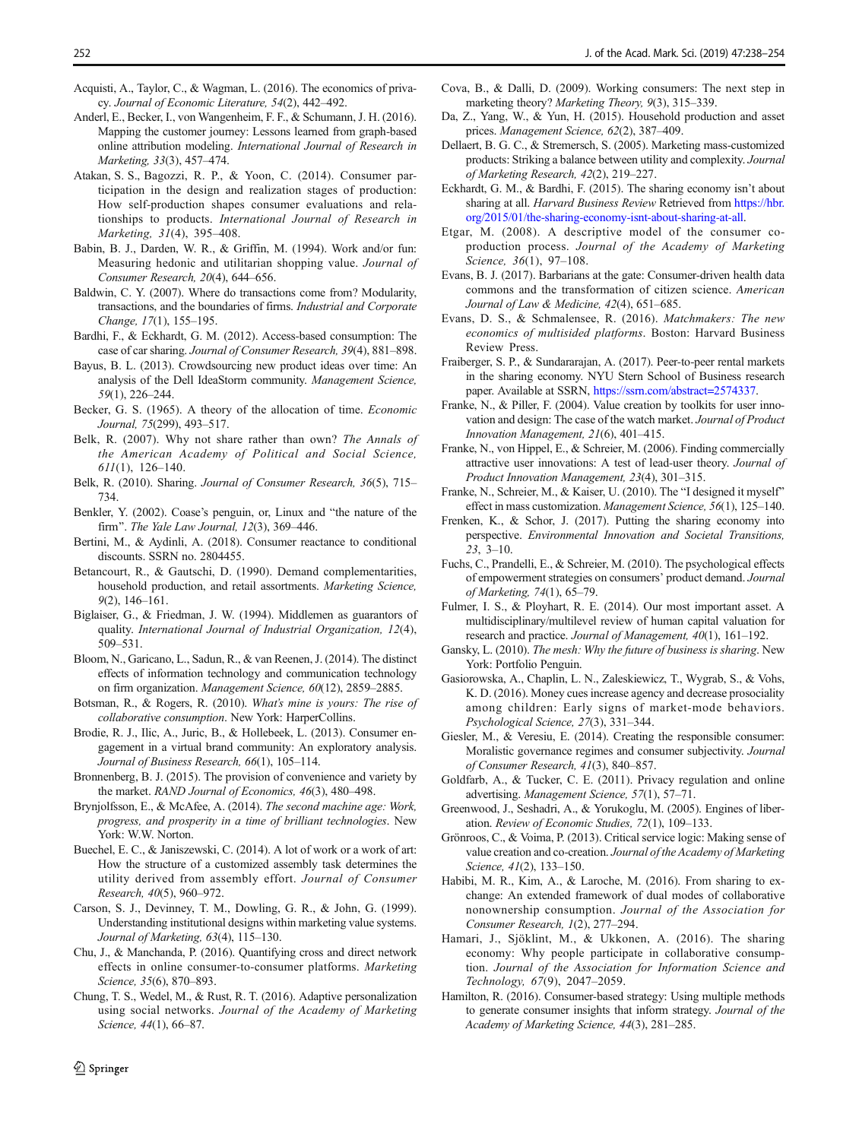- <span id="page-14-0"></span>Acquisti, A., Taylor, C., & Wagman, L. (2016). The economics of privacy. Journal of Economic Literature, 54(2), 442–492.
- Anderl, E., Becker, I., von Wangenheim, F. F., & Schumann, J. H. (2016). Mapping the customer journey: Lessons learned from graph-based online attribution modeling. International Journal of Research in Marketing, 33(3), 457–474.
- Atakan, S. S., Bagozzi, R. P., & Yoon, C. (2014). Consumer participation in the design and realization stages of production: How self-production shapes consumer evaluations and relationships to products. International Journal of Research in Marketing, 31(4), 395–408.
- Babin, B. J., Darden, W. R., & Griffin, M. (1994). Work and/or fun: Measuring hedonic and utilitarian shopping value. Journal of Consumer Research, 20(4), 644–656.
- Baldwin, C. Y. (2007). Where do transactions come from? Modularity, transactions, and the boundaries of firms. Industrial and Corporate Change, 17(1), 155–195.
- Bardhi, F., & Eckhardt, G. M. (2012). Access-based consumption: The case of car sharing. Journal of Consumer Research, 39(4), 881–898.
- Bayus, B. L. (2013). Crowdsourcing new product ideas over time: An analysis of the Dell IdeaStorm community. Management Science, 59(1), 226–244.
- Becker, G. S. (1965). A theory of the allocation of time. Economic Journal, 75(299), 493–517.
- Belk, R. (2007). Why not share rather than own? The Annals of the American Academy of Political and Social Science, 611(1), 126–140.
- Belk, R. (2010). Sharing. Journal of Consumer Research, 36(5), 715– 734.
- Benkler, Y. (2002). Coase's penguin, or, Linux and "the nature of the firm^. The Yale Law Journal, 12(3), 369–446.
- Bertini, M., & Aydinli, A. (2018). Consumer reactance to conditional discounts. SSRN no. 2804455.
- Betancourt, R., & Gautschi, D. (1990). Demand complementarities, household production, and retail assortments. Marketing Science, 9(2), 146–161.
- Biglaiser, G., & Friedman, J. W. (1994). Middlemen as guarantors of quality. International Journal of Industrial Organization, 12(4), 509–531.
- Bloom, N., Garicano, L., Sadun, R., & van Reenen, J. (2014). The distinct effects of information technology and communication technology on firm organization. Management Science, 60(12), 2859–2885.
- Botsman, R., & Rogers, R. (2010). What's mine is yours: The rise of collaborative consumption. New York: HarperCollins.
- Brodie, R. J., Ilic, A., Juric, B., & Hollebeek, L. (2013). Consumer engagement in a virtual brand community: An exploratory analysis. Journal of Business Research, 66(1), 105–114.
- Bronnenberg, B. J. (2015). The provision of convenience and variety by the market. RAND Journal of Economics, 46(3), 480–498.
- Brynjolfsson, E., & McAfee, A. (2014). The second machine age: Work, progress, and prosperity in a time of brilliant technologies. New York: W.W. Norton.
- Buechel, E. C., & Janiszewski, C. (2014). A lot of work or a work of art: How the structure of a customized assembly task determines the utility derived from assembly effort. Journal of Consumer Research, 40(5), 960–972.
- Carson, S. J., Devinney, T. M., Dowling, G. R., & John, G. (1999). Understanding institutional designs within marketing value systems. Journal of Marketing, 63(4), 115–130.
- Chu, J., & Manchanda, P. (2016). Quantifying cross and direct network effects in online consumer-to-consumer platforms. Marketing Science, 35(6), 870–893.
- Chung, T. S., Wedel, M., & Rust, R. T. (2016). Adaptive personalization using social networks. Journal of the Academy of Marketing Science, 44(1), 66–87.
- Cova, B., & Dalli, D. (2009). Working consumers: The next step in marketing theory? Marketing Theory, 9(3), 315–339.
- Da, Z., Yang, W., & Yun, H. (2015). Household production and asset prices. Management Science, 62(2), 387–409.
- Dellaert, B. G. C., & Stremersch, S. (2005). Marketing mass-customized products: Striking a balance between utility and complexity. Journal of Marketing Research, 42(2), 219–227.
- Eckhardt, G. M., & Bardhi, F. (2015). The sharing economy isn't about sharing at all. Harvard Business Review Retrieved from [https://hbr.](https://hbr.org/2015/01/the-sharing-economy-isnt-about-sharing-at-all) [org/2015/01/the-sharing-economy-isnt-about-sharing-at-all.](https://hbr.org/2015/01/the-sharing-economy-isnt-about-sharing-at-all)
- Etgar, M. (2008). A descriptive model of the consumer coproduction process. Journal of the Academy of Marketing Science, 36(1), 97-108.
- Evans, B. J. (2017). Barbarians at the gate: Consumer-driven health data commons and the transformation of citizen science. American Journal of Law & Medicine, 42(4), 651–685.
- Evans, D. S., & Schmalensee, R. (2016). Matchmakers: The new economics of multisided platforms. Boston: Harvard Business Review Press.
- Fraiberger, S. P., & Sundararajan, A. (2017). Peer-to-peer rental markets in the sharing economy. NYU Stern School of Business research paper. Available at SSRN, <https://ssrn.com/abstract=2574337>.
- Franke, N., & Piller, F. (2004). Value creation by toolkits for user innovation and design: The case of the watch market. Journal of Product Innovation Management, 21(6), 401–415.
- Franke, N., von Hippel, E., & Schreier, M. (2006). Finding commercially attractive user innovations: A test of lead-user theory. Journal of Product Innovation Management, 23(4), 301–315.
- Franke, N., Schreier, M., & Kaiser, U. (2010). The "I designed it myself" effect in mass customization. Management Science, 56(1), 125–140.
- Frenken, K., & Schor, J. (2017). Putting the sharing economy into perspective. Environmental Innovation and Societal Transitions, 23, 3–10.
- Fuchs, C., Prandelli, E., & Schreier, M. (2010). The psychological effects of empowerment strategies on consumers' product demand. Journal of Marketing, 74(1), 65–79.
- Fulmer, I. S., & Ployhart, R. E. (2014). Our most important asset. A multidisciplinary/multilevel review of human capital valuation for research and practice. Journal of Management, 40(1), 161–192.
- Gansky, L. (2010). The mesh: Why the future of business is sharing. New York: Portfolio Penguin.
- Gasiorowska, A., Chaplin, L. N., Zaleskiewicz, T., Wygrab, S., & Vohs, K. D. (2016). Money cues increase agency and decrease prosociality among children: Early signs of market-mode behaviors. Psychological Science, 27(3), 331–344.
- Giesler, M., & Veresiu, E. (2014). Creating the responsible consumer: Moralistic governance regimes and consumer subjectivity. Journal of Consumer Research, 41(3), 840–857.
- Goldfarb, A., & Tucker, C. E. (2011). Privacy regulation and online advertising. Management Science, 57(1), 57–71.
- Greenwood, J., Seshadri, A., & Yorukoglu, M. (2005). Engines of liberation. Review of Economic Studies, 72(1), 109–133.
- Grönroos, C., & Voima, P. (2013). Critical service logic: Making sense of value creation and co-creation. Journal of the Academy of Marketing Science, 41(2), 133–150.
- Habibi, M. R., Kim, A., & Laroche, M. (2016). From sharing to exchange: An extended framework of dual modes of collaborative nonownership consumption. Journal of the Association for Consumer Research, 1(2), 277–294.
- Hamari, J., Sjöklint, M., & Ukkonen, A. (2016). The sharing economy: Why people participate in collaborative consumption. Journal of the Association for Information Science and Technology, 67(9), 2047–2059.
- Hamilton, R. (2016). Consumer-based strategy: Using multiple methods to generate consumer insights that inform strategy. Journal of the Academy of Marketing Science, 44(3), 281–285.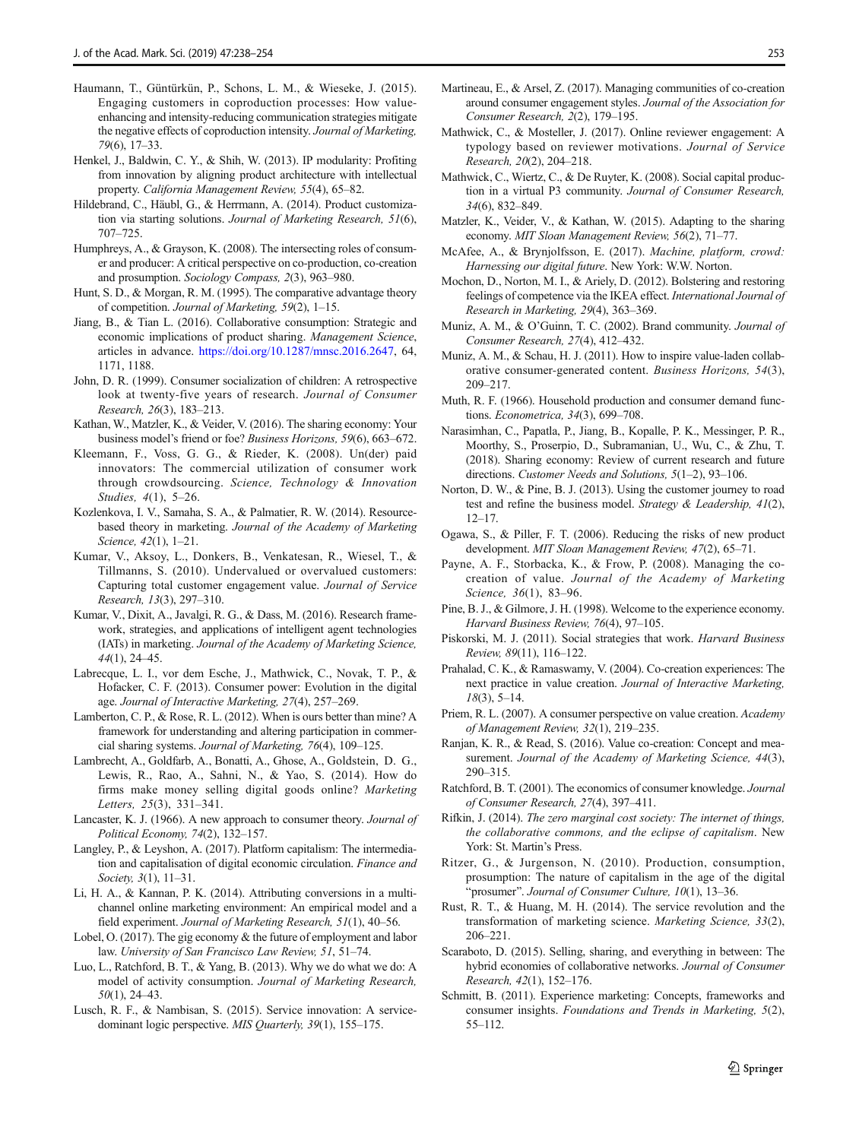- <span id="page-15-0"></span>Haumann, T., Güntürkün, P., Schons, L. M., & Wieseke, J. (2015). Engaging customers in coproduction processes: How valueenhancing and intensity-reducing communication strategies mitigate the negative effects of coproduction intensity. Journal of Marketing, 79(6), 17–33.
- Henkel, J., Baldwin, C. Y., & Shih, W. (2013). IP modularity: Profiting from innovation by aligning product architecture with intellectual property. California Management Review, 55(4), 65–82.
- Hildebrand, C., Häubl, G., & Herrmann, A. (2014). Product customization via starting solutions. Journal of Marketing Research, 51(6), 707–725.
- Humphreys, A., & Grayson, K. (2008). The intersecting roles of consumer and producer: A critical perspective on co-production, co-creation and prosumption. Sociology Compass, 2(3), 963–980.
- Hunt, S. D., & Morgan, R. M. (1995). The comparative advantage theory of competition. Journal of Marketing, 59(2), 1–15.
- Jiang, B., & Tian L. (2016). Collaborative consumption: Strategic and economic implications of product sharing. Management Science, articles in advance. <https://doi.org/10.1287/mnsc.2016.2647>, 64, 1171, 1188.
- John, D. R. (1999). Consumer socialization of children: A retrospective look at twenty-five years of research. Journal of Consumer Research, 26(3), 183–213.
- Kathan, W., Matzler, K., & Veider, V. (2016). The sharing economy: Your business model's friend or foe? Business Horizons, 59(6), 663–672.
- Kleemann, F., Voss, G. G., & Rieder, K. (2008). Un(der) paid innovators: The commercial utilization of consumer work through crowdsourcing. Science, Technology & Innovation Studies, 4(1), 5–26.
- Kozlenkova, I. V., Samaha, S. A., & Palmatier, R. W. (2014). Resourcebased theory in marketing. Journal of the Academy of Marketing Science, 42(1), 1–21.
- Kumar, V., Aksoy, L., Donkers, B., Venkatesan, R., Wiesel, T., & Tillmanns, S. (2010). Undervalued or overvalued customers: Capturing total customer engagement value. Journal of Service Research, 13(3), 297–310.
- Kumar, V., Dixit, A., Javalgi, R. G., & Dass, M. (2016). Research framework, strategies, and applications of intelligent agent technologies (IATs) in marketing. Journal of the Academy of Marketing Science, 44(1), 24–45.
- Labrecque, L. I., vor dem Esche, J., Mathwick, C., Novak, T. P., & Hofacker, C. F. (2013). Consumer power: Evolution in the digital age. Journal of Interactive Marketing, 27(4), 257–269.
- Lamberton, C. P., & Rose, R. L. (2012). When is ours better than mine? A framework for understanding and altering participation in commercial sharing systems. Journal of Marketing, 76(4), 109–125.
- Lambrecht, A., Goldfarb, A., Bonatti, A., Ghose, A., Goldstein, D. G., Lewis, R., Rao, A., Sahni, N., & Yao, S. (2014). How do firms make money selling digital goods online? Marketing Letters, 25(3), 331–341.
- Lancaster, K. J. (1966). A new approach to consumer theory. Journal of Political Economy, 74(2), 132–157.
- Langley, P., & Leyshon, A. (2017). Platform capitalism: The intermediation and capitalisation of digital economic circulation. Finance and Society, 3(1), 11–31.
- Li, H. A., & Kannan, P. K. (2014). Attributing conversions in a multichannel online marketing environment: An empirical model and a field experiment. Journal of Marketing Research, 51(1), 40–56.
- Lobel, O. (2017). The gig economy & the future of employment and labor law. University of San Francisco Law Review, 51, 51–74.
- Luo, L., Ratchford, B. T., & Yang, B. (2013). Why we do what we do: A model of activity consumption. Journal of Marketing Research, 50(1), 24–43.
- Lusch, R. F., & Nambisan, S. (2015). Service innovation: A servicedominant logic perspective. MIS Quarterly, 39(1), 155-175.
- Martineau, E., & Arsel, Z. (2017). Managing communities of co-creation around consumer engagement styles. Journal of the Association for Consumer Research, 2(2), 179–195.
- Mathwick, C., & Mosteller, J. (2017). Online reviewer engagement: A typology based on reviewer motivations. Journal of Service Research, 20(2), 204–218.
- Mathwick, C., Wiertz, C., & De Ruyter, K. (2008). Social capital production in a virtual P3 community. Journal of Consumer Research, 34(6), 832–849.
- Matzler, K., Veider, V., & Kathan, W. (2015). Adapting to the sharing economy. MIT Sloan Management Review, 56(2), 71–77.
- McAfee, A., & Brynjolfsson, E. (2017). Machine, platform, crowd: Harnessing our digital future. New York: W.W. Norton.
- Mochon, D., Norton, M. I., & Ariely, D. (2012). Bolstering and restoring feelings of competence via the IKEA effect. International Journal of Research in Marketing, 29(4), 363–369.
- Muniz, A. M., & O'Guinn, T. C. (2002). Brand community. Journal of Consumer Research, 27(4), 412–432.
- Muniz, A. M., & Schau, H. J. (2011). How to inspire value-laden collaborative consumer-generated content. Business Horizons, 54(3), 209–217.
- Muth, R. F. (1966). Household production and consumer demand functions. Econometrica, 34(3), 699–708.
- Narasimhan, C., Papatla, P., Jiang, B., Kopalle, P. K., Messinger, P. R., Moorthy, S., Proserpio, D., Subramanian, U., Wu, C., & Zhu, T. (2018). Sharing economy: Review of current research and future directions. Customer Needs and Solutions, 5(1–2), 93–106.
- Norton, D. W., & Pine, B. J. (2013). Using the customer journey to road test and refine the business model. Strategy & Leadership, 41(2), 12–17.
- Ogawa, S., & Piller, F. T. (2006). Reducing the risks of new product development. MIT Sloan Management Review, 47(2), 65–71.
- Payne, A. F., Storbacka, K., & Frow, P. (2008). Managing the cocreation of value. Journal of the Academy of Marketing Science, 36(1), 83–96.
- Pine, B. J., & Gilmore, J. H. (1998). Welcome to the experience economy. Harvard Business Review, 76(4), 97–105.
- Piskorski, M. J. (2011). Social strategies that work. Harvard Business Review, 89(11), 116–122.
- Prahalad, C. K., & Ramaswamy, V. (2004). Co-creation experiences: The next practice in value creation. Journal of Interactive Marketing,  $18(3)$ , 5–14.
- Priem, R. L. (2007). A consumer perspective on value creation. Academy of Management Review, 32(1), 219–235.
- Ranjan, K. R., & Read, S. (2016). Value co-creation: Concept and measurement. Journal of the Academy of Marketing Science, 44(3), 290–315.
- Ratchford, B. T. (2001). The economics of consumer knowledge. Journal of Consumer Research, 27(4), 397–411.
- Rifkin, J. (2014). The zero marginal cost society: The internet of things, the collaborative commons, and the eclipse of capitalism. New York: St. Martin's Press.
- Ritzer, G., & Jurgenson, N. (2010). Production, consumption, prosumption: The nature of capitalism in the age of the digital "prosumer". Journal of Consumer Culture, 10(1), 13–36.
- Rust, R. T., & Huang, M. H. (2014). The service revolution and the transformation of marketing science. Marketing Science, 33(2), 206–221.
- Scaraboto, D. (2015). Selling, sharing, and everything in between: The hybrid economies of collaborative networks. Journal of Consumer Research, 42(1), 152–176.
- Schmitt, B. (2011). Experience marketing: Concepts, frameworks and consumer insights. Foundations and Trends in Marketing, 5(2), 55–112.